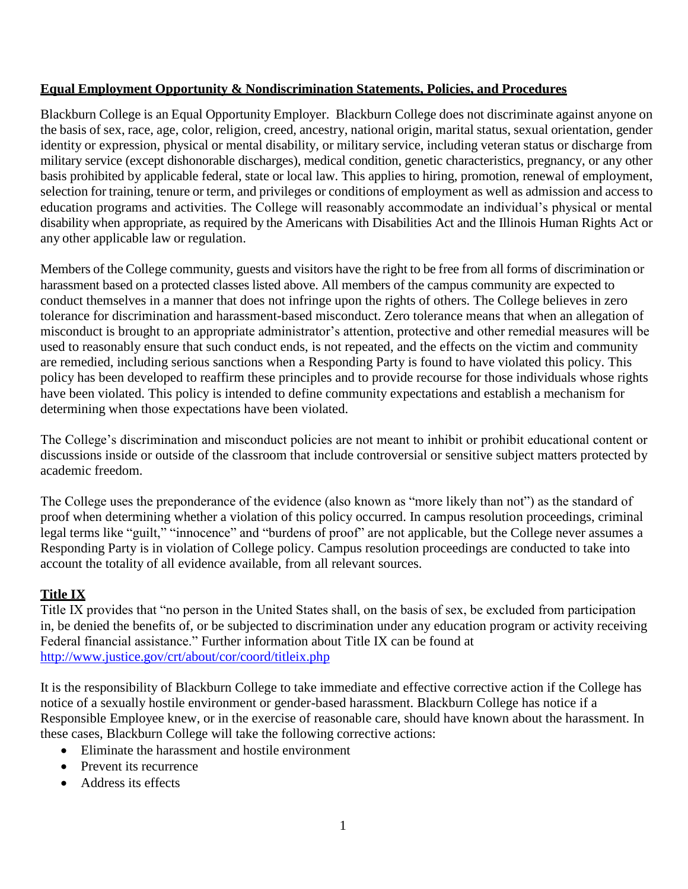## **Equal Employment Opportunity & Nondiscrimination Statements, Policies, and Procedures**

Blackburn College is an Equal Opportunity Employer. Blackburn College does not discriminate against anyone on the basis of sex, race, age, color, religion, creed, ancestry, national origin, marital status, sexual orientation, gender identity or expression, physical or mental disability, or military service, including veteran status or discharge from military service (except dishonorable discharges), medical condition, genetic characteristics, pregnancy, or any other basis prohibited by applicable federal, state or local law. This applies to hiring, promotion, renewal of employment, selection for training, tenure or term, and privileges or conditions of employment as well as admission and access to education programs and activities. The College will reasonably accommodate an individual's physical or mental disability when appropriate, as required by the Americans with Disabilities Act and the Illinois Human Rights Act or any other applicable law or regulation.

Members of the College community, guests and visitors have the right to be free from all forms of discrimination or harassment based on a protected classes listed above. All members of the campus community are expected to conduct themselves in a manner that does not infringe upon the rights of others. The College believes in zero tolerance for discrimination and harassment-based misconduct. Zero tolerance means that when an allegation of misconduct is brought to an appropriate administrator's attention, protective and other remedial measures will be used to reasonably ensure that such conduct ends, is not repeated, and the effects on the victim and community are remedied, including serious sanctions when a Responding Party is found to have violated this policy. This policy has been developed to reaffirm these principles and to provide recourse for those individuals whose rights have been violated. This policy is intended to define community expectations and establish a mechanism for determining when those expectations have been violated.

The College's discrimination and misconduct policies are not meant to inhibit or prohibit educational content or discussions inside or outside of the classroom that include controversial or sensitive subject matters protected by academic freedom.

The College uses the preponderance of the evidence (also known as "more likely than not") as the standard of proof when determining whether a violation of this policy occurred. In campus resolution proceedings, criminal legal terms like "guilt," "innocence" and "burdens of proof" are not applicable, but the College never assumes a Responding Party is in violation of College policy. Campus resolution proceedings are conducted to take into account the totality of all evidence available, from all relevant sources.

# **Title IX**

Title IX provides that "no person in the United States shall, on the basis of sex, be excluded from participation in, be denied the benefits of, or be subjected to discrimination under any education program or activity receiving Federal financial assistance." Further information about Title IX can be found at <http://www.justice.gov/crt/about/cor/coord/titleix.php>

It is the responsibility of Blackburn College to take immediate and effective corrective action if the College has notice of a sexually hostile environment or gender-based harassment. Blackburn College has notice if a Responsible Employee knew, or in the exercise of reasonable care, should have known about the harassment. In these cases, Blackburn College will take the following corrective actions:

- Eliminate the harassment and hostile environment
- Prevent its recurrence
- Address its effects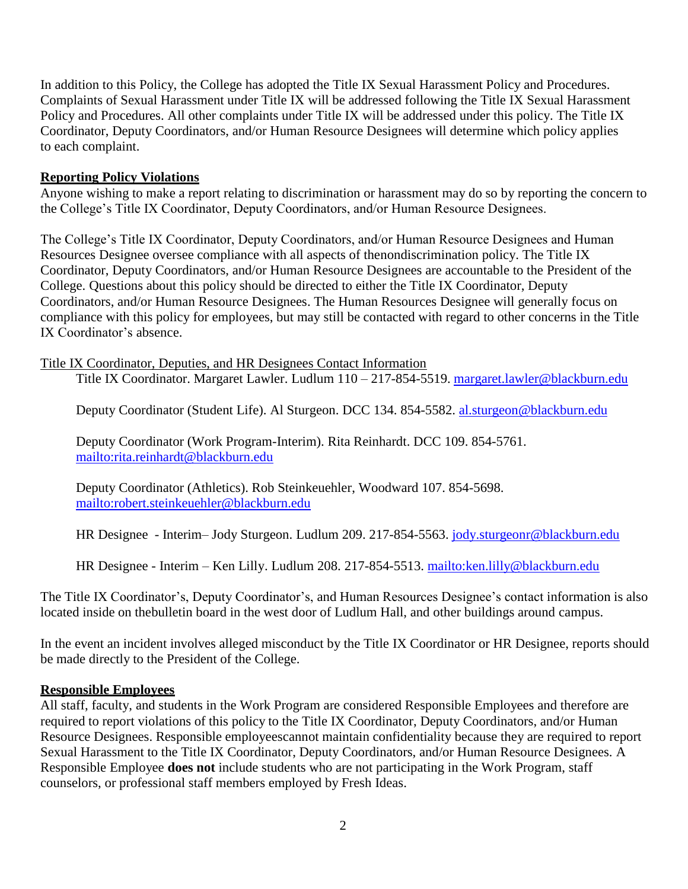In addition to this Policy, the College has adopted the Title IX Sexual Harassment Policy and Procedures. Complaints of Sexual Harassment under Title IX will be addressed following the Title IX Sexual Harassment Policy and Procedures. All other complaints under Title IX will be addressed under this policy. The Title IX Coordinator, Deputy Coordinators, and/or Human Resource Designees will determine which policy applies to each complaint.

#### **Reporting Policy Violations**

Anyone wishing to make a report relating to discrimination or harassment may do so by reporting the concern to the College's Title IX Coordinator, Deputy Coordinators, and/or Human Resource Designees.

The College's Title IX Coordinator, Deputy Coordinators, and/or Human Resource Designees and Human Resources Designee oversee compliance with all aspects of thenondiscrimination policy. The Title IX Coordinator, Deputy Coordinators, and/or Human Resource Designees are accountable to the President of the College. Questions about this policy should be directed to either the Title IX Coordinator, Deputy Coordinators, and/or Human Resource Designees. The Human Resources Designee will generally focus on compliance with this policy for employees, but may still be contacted with regard to other concerns in the Title IX Coordinator's absence.

Title IX Coordinator, Deputies, and HR Designees Contact Information

Title IX Coordinator. Margaret Lawler. Ludlum 110 – 217-854-5519. [margaret.lawler@blackburn.edu](mailto:margaret.lawler@blackburn.edu)

Deputy Coordinator (Student Life). Al Sturgeon. DCC 134. 854-5582. [al.sturgeon@blackburn.edu](mailto:al.sturgeon@blackburn.edu)

Deputy Coordinator (Work Program-Interim). Rita Reinhardt. DCC 109. 854-5761. <mailto:rita.reinhardt@blackburn.edu>

Deputy Coordinator (Athletics). Rob Steinkeuehler, Woodward 107. 854-5698. <mailto:robert.steinkeuehler@blackburn.edu>

HR Designee - Interim– Jody Sturgeon. Ludlum 209. 217-854-5563. [jody.sturgeonr@blackburn.edu](mailto:jody.sturgeonr@blackburn.edu)

HR Designee - Interim – Ken Lilly. Ludlum 208. 217-854-5513. mailto: ken. lilly@blackburn. edu

The Title IX Coordinator's, Deputy Coordinator's, and Human Resources Designee's contact information is also located inside on thebulletin board in the west door of Ludlum Hall, and other buildings around campus.

In the event an incident involves alleged misconduct by the Title IX Coordinator or HR Designee, reports should be made directly to the President of the College.

#### **Responsible Employees**

All staff, faculty, and students in the Work Program are considered Responsible Employees and therefore are required to report violations of this policy to the Title IX Coordinator, Deputy Coordinators, and/or Human Resource Designees. Responsible employeescannot maintain confidentiality because they are required to report Sexual Harassment to the Title IX Coordinator, Deputy Coordinators, and/or Human Resource Designees. A Responsible Employee **does not** include students who are not participating in the Work Program, staff counselors, or professional staff members employed by Fresh Ideas.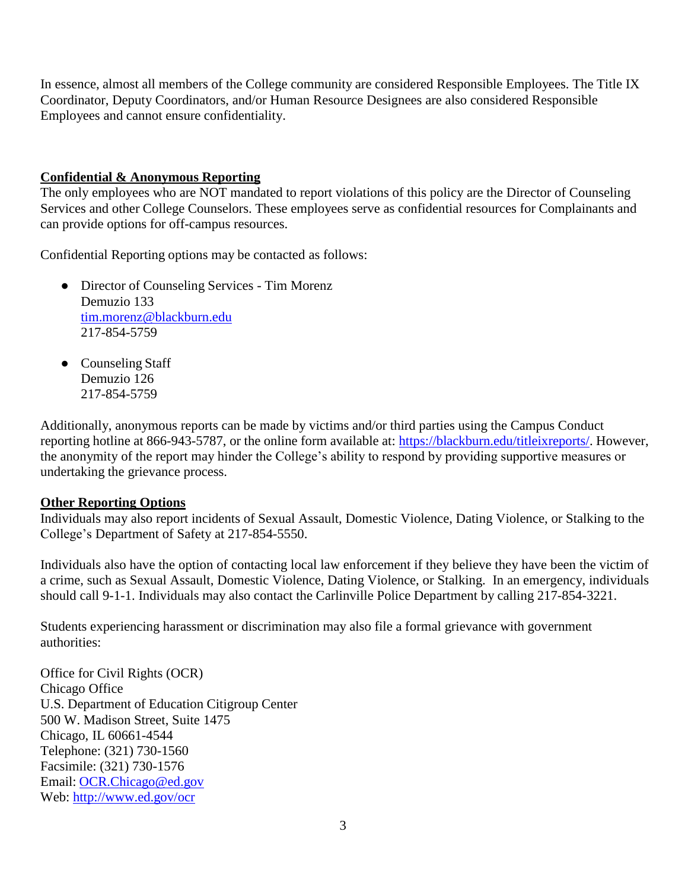In essence, almost all members of the College community are considered Responsible Employees. The Title IX Coordinator, Deputy Coordinators, and/or Human Resource Designees are also considered Responsible Employees and cannot ensure confidentiality.

### **Confidential & Anonymous Reporting**

The only employees who are NOT mandated to report violations of this policy are the Director of Counseling Services and other College Counselors. These employees serve as confidential resources for Complainants and can provide options for off-campus resources.

Confidential Reporting options may be contacted as follows:

- Director of Counseling Services Tim Morenz Demuzio 133 [tim.morenz@blackburn.edu](mailto:tim.morenz@blackburn.edu) 217-854-5759
- Counseling Staff Demuzio 126 217-854-5759

Additionally, anonymous reports can be made by victims and/or third parties using the Campus Conduct reporting hotline at 866-943-5787, or the online form available at: [https://blackburn.edu/titleixreports/.](https://blackburn.edu/titleixreports/) However, the anonymity of the report may hinder the College's ability to respond by providing supportive measures or undertaking the grievance process.

## **Other Reporting Options**

Individuals may also report incidents of Sexual Assault, Domestic Violence, Dating Violence, or Stalking to the College's Department of Safety at 217-854-5550.

Individuals also have the option of contacting local law enforcement if they believe they have been the victim of a crime, such as Sexual Assault, Domestic Violence, Dating Violence, or Stalking. In an emergency, individuals should call 9-1-1. Individuals may also contact the Carlinville Police Department by calling 217-854-3221.

Students experiencing harassment or discrimination may also file a formal grievance with government authorities:

Office for Civil Rights (OCR) Chicago Office U.S. Department of Education Citigroup Center 500 W. Madison Street, Suite 1475 Chicago, IL 60661-4544 Telephone: (321) 730-1560 Facsimile: (321) 730-1576 Email: [OCR.Chicago@ed.gov](mailto:OCR.Chicago@ed.gov) Web: <http://www.ed.gov/ocr>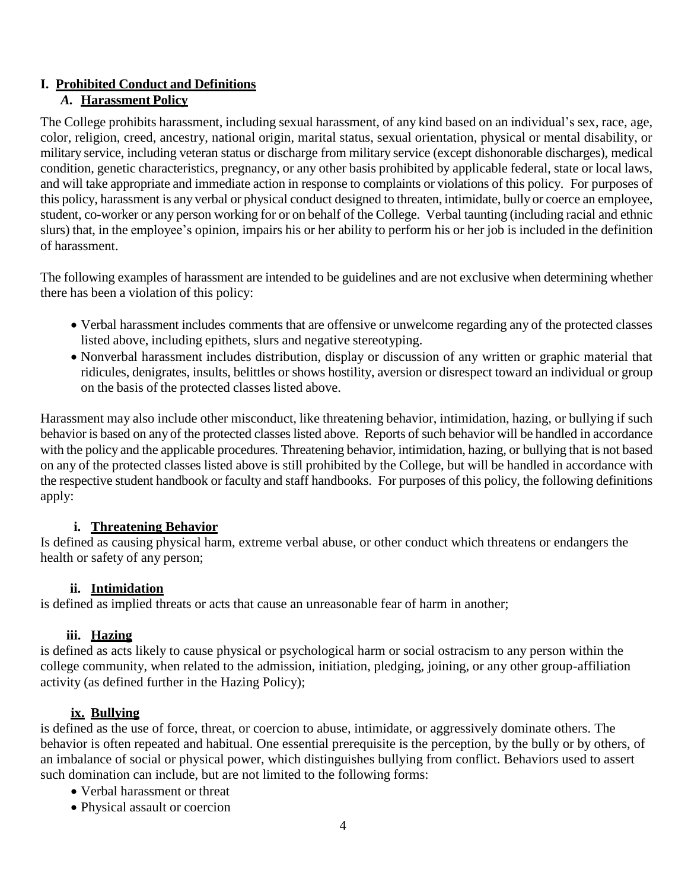# **I. Prohibited Conduct and Definitions**

## *A.* **Harassment Policy**

The College prohibits harassment, including sexual harassment, of any kind based on an individual's sex, race, age, color, religion, creed, ancestry, national origin, marital status, sexual orientation, physical or mental disability, or military service, including veteran status or discharge from military service (except dishonorable discharges), medical condition, genetic characteristics, pregnancy, or any other basis prohibited by applicable federal, state or local laws, and will take appropriate and immediate action in response to complaints or violations of this policy. For purposes of this policy, harassment is any verbal or physical conduct designed to threaten, intimidate, bully or coerce an employee, student, co-worker or any person working for or on behalf of the College. Verbal taunting (including racial and ethnic slurs) that, in the employee's opinion, impairs his or her ability to perform his or her job is included in the definition of harassment.

The following examples of harassment are intended to be guidelines and are not exclusive when determining whether there has been a violation of this policy:

- Verbal harassment includes comments that are offensive or unwelcome regarding any of the protected classes listed above, including epithets, slurs and negative stereotyping.
- Nonverbal harassment includes distribution, display or discussion of any written or graphic material that ridicules, denigrates, insults, belittles or shows hostility, aversion or disrespect toward an individual or group on the basis of the protected classes listed above.

Harassment may also include other misconduct, like threatening behavior, intimidation, hazing, or bullying if such behavior is based on any of the protected classes listed above. Reports of such behavior will be handled in accordance with the policy and the applicable procedures. Threatening behavior, intimidation, hazing, or bullying that is not based on any of the protected classes listed above is still prohibited by the College, but will be handled in accordance with the respective student handbook or faculty and staff handbooks. For purposes of this policy, the following definitions apply:

## **i. Threatening Behavior**

Is defined as causing physical harm, extreme verbal abuse, or other conduct which threatens or endangers the health or safety of any person;

# **ii. Intimidation**

is defined as implied threats or acts that cause an unreasonable fear of harm in another;

# **iii. Hazing**

is defined as acts likely to cause physical or psychological harm or social ostracism to any person within the college community, when related to the admission, initiation, pledging, joining, or any other group-affiliation activity (as defined further in the Hazing Policy);

# **ix. Bullying**

is defined as the use of force, threat, or coercion to abuse, intimidate, or aggressively dominate others. The behavior is often repeated and habitual. One essential prerequisite is the perception, by the bully or by others, of an imbalance of social or physical power, which distinguishes bullying from conflict. Behaviors used to assert such domination can include, but are not limited to the following forms:

- Verbal harassment or threat
- Physical assault or coercion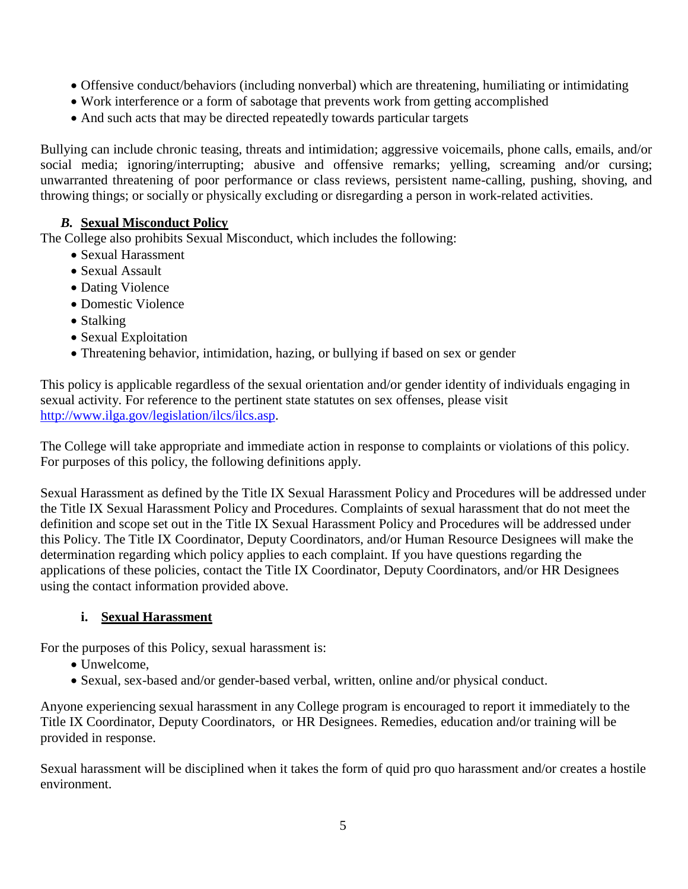- Offensive conduct/behaviors (including nonverbal) which are threatening, humiliating or intimidating
- Work interference or a form of sabotage that prevents work from getting accomplished
- And such acts that may be directed repeatedly towards particular targets

Bullying can include chronic teasing, threats and intimidation; aggressive voicemails, phone calls, emails, and/or social media; ignoring/interrupting; abusive and offensive remarks; yelling, screaming and/or cursing; unwarranted threatening of poor performance or class reviews, persistent name-calling, pushing, shoving, and throwing things; or socially or physically excluding or disregarding a person in work-related activities.

## *B.* **Sexual Misconduct Policy**

The College also prohibits Sexual Misconduct, which includes the following:

- Sexual Harassment
- Sexual Assault
- Dating Violence
- Domestic Violence
- Stalking
- Sexual Exploitation
- Threatening behavior, intimidation, hazing, or bullying if based on sex or gender

This policy is applicable regardless of the sexual orientation and/or gender identity of individuals engaging in sexual activity. For reference to the pertinent state statutes on sex offenses, please visit [http://www.ilga.gov/legislation/ilcs/ilcs.asp.](http://www.ilga.gov/legislation/ilcs/ilcs.asp)

The College will take appropriate and immediate action in response to complaints or violations of this policy. For purposes of this policy, the following definitions apply.

Sexual Harassment as defined by the Title IX Sexual Harassment Policy and Procedures will be addressed under the Title IX Sexual Harassment Policy and Procedures. Complaints of sexual harassment that do not meet the definition and scope set out in the Title IX Sexual Harassment Policy and Procedures will be addressed under this Policy. The Title IX Coordinator, Deputy Coordinators, and/or Human Resource Designees will make the determination regarding which policy applies to each complaint. If you have questions regarding the applications of these policies, contact the Title IX Coordinator, Deputy Coordinators, and/or HR Designees using the contact information provided above.

## **i. Sexual Harassment**

For the purposes of this Policy, sexual harassment is:

- Unwelcome,
- Sexual, sex-based and/or gender-based verbal, written, online and/or physical conduct.

Anyone experiencing sexual harassment in any College program is encouraged to report it immediately to the Title IX Coordinator, Deputy Coordinators, or HR Designees. Remedies, education and/or training will be provided in response.

Sexual harassment will be disciplined when it takes the form of quid pro quo harassment and/or creates a hostile environment.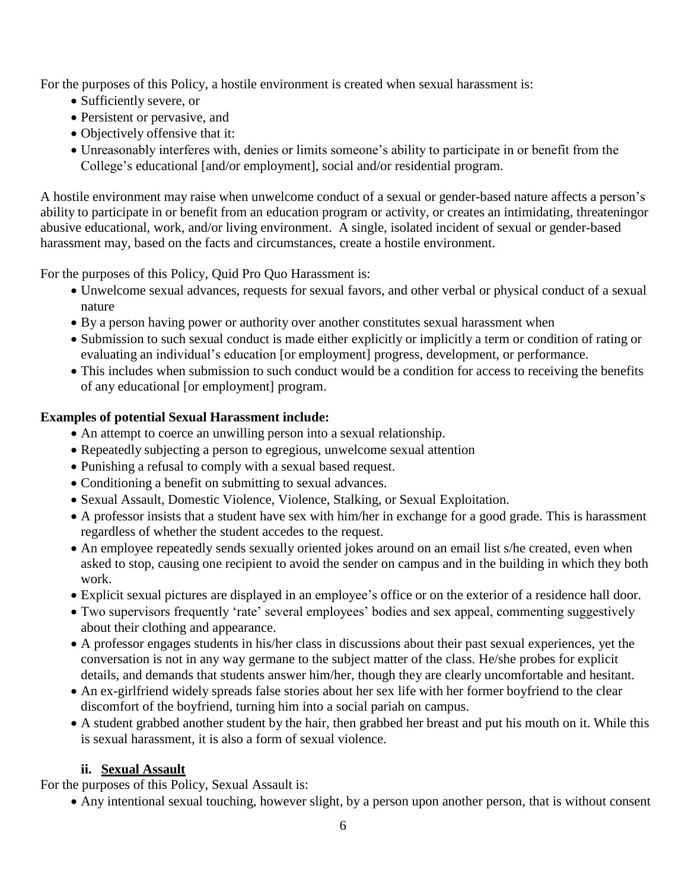For the purposes of this Policy, a hostile environment is created when sexual harassment is:

- Sufficiently severe, or
- Persistent or pervasive, and
- Objectively offensive that it:
- Unreasonably interferes with, denies or limits someone's ability to participate in or benefit from the College's educational [and/or employment], social and/or residential program.

A hostile environment may raise when unwelcome conduct of a sexual or gender-based nature affects a person's ability to participate in or benefit from an education program or activity, or creates an intimidating, threateningor abusive educational, work, and/or living environment. A single, isolated incident of sexual or gender-based harassment may, based on the facts and circumstances, create a hostile environment.

For the purposes of this Policy, Quid Pro Quo Harassment is:

- Unwelcome sexual advances, requests for sexual favors, and other verbal or physical conduct of a sexual nature
- By a person having power or authority over another constitutes sexual harassment when
- Submission to such sexual conduct is made either explicitly or implicitly a term or condition of rating or evaluating an individual's education [or employment] progress, development, or performance.
- This includes when submission to such conduct would be a condition for access to receiving the benefits of any educational [or employment] program.

## **Examples of potential Sexual Harassment include:**

- An attempt to coerce an unwilling person into a sexual relationship.
- Repeatedly subjecting a person to egregious, unwelcome sexual attention
- Punishing a refusal to comply with a sexual based request.
- Conditioning a benefit on submitting to sexual advances.
- Sexual Assault, Domestic Violence, Violence, Stalking, or Sexual Exploitation.
- A professor insists that a student have sex with him/her in exchange for a good grade. This is harassment regardless of whether the student accedes to the request.
- An employee repeatedly sends sexually oriented jokes around on an email list s/he created, even when asked to stop, causing one recipient to avoid the sender on campus and in the building in which they both work.
- Explicit sexual pictures are displayed in an employee's office or on the exterior of a residence hall door.
- Two supervisors frequently 'rate' several employees' bodies and sex appeal, commenting suggestively about their clothing and appearance.
- A professor engages students in his/her class in discussions about their past sexual experiences, yet the conversation is not in any way germane to the subject matter of the class. He/she probes for explicit details, and demands that students answer him/her, though they are clearly uncomfortable and hesitant.
- An ex-girlfriend widely spreads false stories about her sex life with her former boyfriend to the clear discomfort of the boyfriend, turning him into a social pariah on campus.
- A student grabbed another student by the hair, then grabbed her breast and put his mouth on it. While this is sexual harassment, it is also a form of sexual violence.

# **ii. Sexual Assault**

For the purposes of this Policy, Sexual Assault is:

• Any intentional sexual touching, however slight, by a person upon another person, that is without consent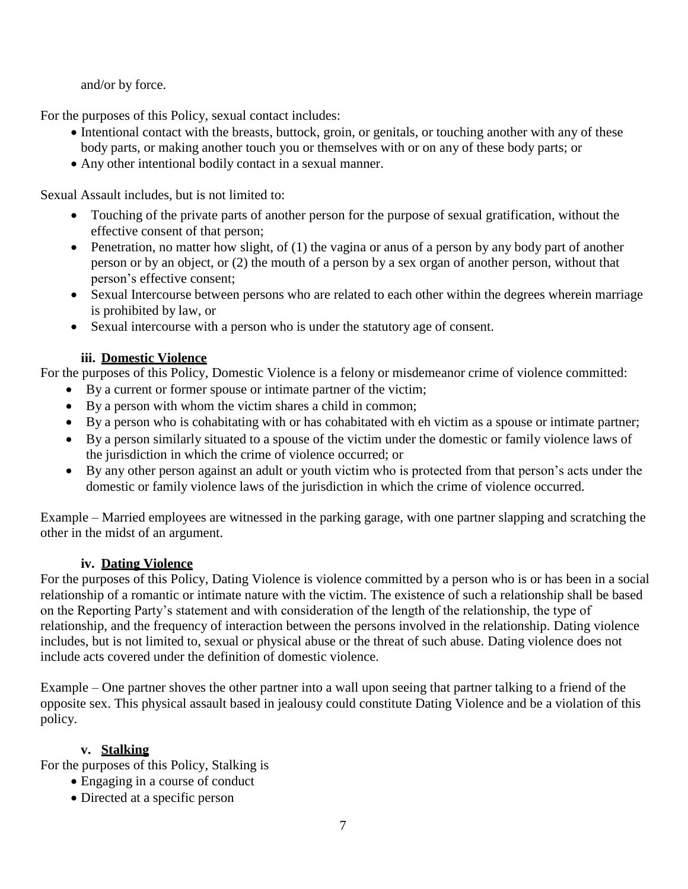and/or by force.

For the purposes of this Policy, sexual contact includes:

- Intentional contact with the breasts, buttock, groin, or genitals, or touching another with any of these body parts, or making another touch you or themselves with or on any of these body parts; or
- Any other intentional bodily contact in a sexual manner.

Sexual Assault includes, but is not limited to:

- Touching of the private parts of another person for the purpose of sexual gratification, without the effective consent of that person;
- Penetration, no matter how slight, of (1) the vagina or anus of a person by any body part of another person or by an object, or (2) the mouth of a person by a sex organ of another person, without that person's effective consent;
- Sexual Intercourse between persons who are related to each other within the degrees wherein marriage is prohibited by law, or
- Sexual intercourse with a person who is under the statutory age of consent.

## **iii. Domestic Violence**

For the purposes of this Policy, Domestic Violence is a felony or misdemeanor crime of violence committed:

- By a current or former spouse or intimate partner of the victim;
- By a person with whom the victim shares a child in common;
- By a person who is cohabitating with or has cohabitated with eh victim as a spouse or intimate partner;
- By a person similarly situated to a spouse of the victim under the domestic or family violence laws of the jurisdiction in which the crime of violence occurred; or
- By any other person against an adult or youth victim who is protected from that person's acts under the domestic or family violence laws of the jurisdiction in which the crime of violence occurred.

Example – Married employees are witnessed in the parking garage, with one partner slapping and scratching the other in the midst of an argument.

## **iv. Dating Violence**

For the purposes of this Policy, Dating Violence is violence committed by a person who is or has been in a social relationship of a romantic or intimate nature with the victim. The existence of such a relationship shall be based on the Reporting Party's statement and with consideration of the length of the relationship, the type of relationship, and the frequency of interaction between the persons involved in the relationship. Dating violence includes, but is not limited to, sexual or physical abuse or the threat of such abuse. Dating violence does not include acts covered under the definition of domestic violence.

Example – One partner shoves the other partner into a wall upon seeing that partner talking to a friend of the opposite sex. This physical assault based in jealousy could constitute Dating Violence and be a violation of this policy.

# **v. Stalking**

For the purposes of this Policy, Stalking is

- Engaging in a course of conduct
- Directed at a specific person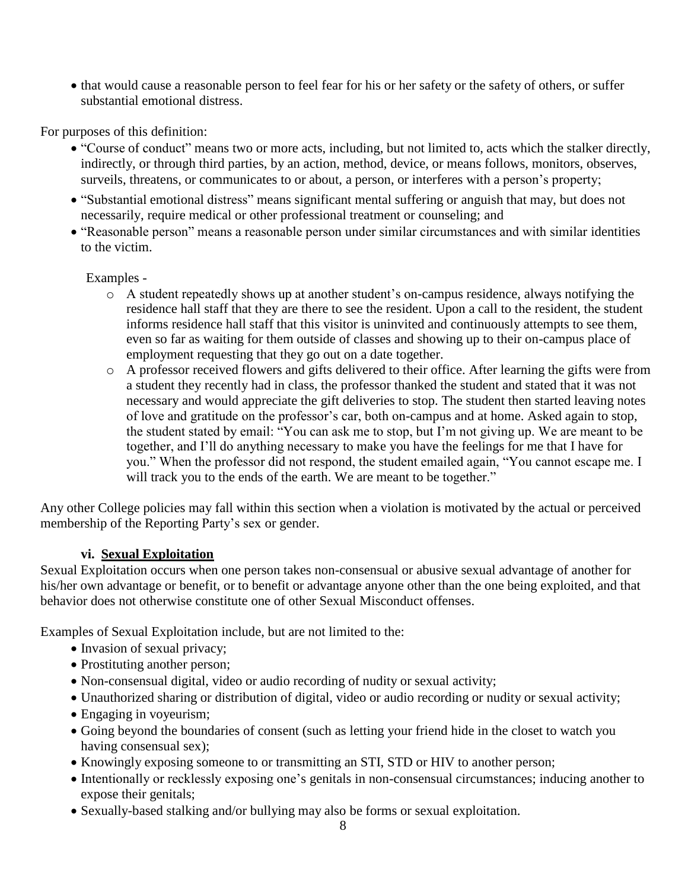• that would cause a reasonable person to feel fear for his or her safety or the safety of others, or suffer substantial emotional distress.

For purposes of this definition:

- "Course of conduct" means two or more acts, including, but not limited to, acts which the stalker directly, indirectly, or through third parties, by an action, method, device, or means follows, monitors, observes, surveils, threatens, or communicates to or about, a person, or interferes with a person's property;
- "Substantial emotional distress" means significant mental suffering or anguish that may, but does not necessarily, require medical or other professional treatment or counseling; and
- "Reasonable person" means a reasonable person under similar circumstances and with similar identities to the victim.

Examples -

- o A student repeatedly shows up at another student's on-campus residence, always notifying the residence hall staff that they are there to see the resident. Upon a call to the resident, the student informs residence hall staff that this visitor is uninvited and continuously attempts to see them, even so far as waiting for them outside of classes and showing up to their on-campus place of employment requesting that they go out on a date together.
- o A professor received flowers and gifts delivered to their office. After learning the gifts were from a student they recently had in class, the professor thanked the student and stated that it was not necessary and would appreciate the gift deliveries to stop. The student then started leaving notes of love and gratitude on the professor's car, both on-campus and at home. Asked again to stop, the student stated by email: "You can ask me to stop, but I'm not giving up. We are meant to be together, and I'll do anything necessary to make you have the feelings for me that I have for you." When the professor did not respond, the student emailed again, "You cannot escape me. I will track you to the ends of the earth. We are meant to be together."

Any other College policies may fall within this section when a violation is motivated by the actual or perceived membership of the Reporting Party's sex or gender.

## **vi. Sexual Exploitation**

Sexual Exploitation occurs when one person takes non-consensual or abusive sexual advantage of another for his/her own advantage or benefit, or to benefit or advantage anyone other than the one being exploited, and that behavior does not otherwise constitute one of other Sexual Misconduct offenses.

Examples of Sexual Exploitation include, but are not limited to the:

- Invasion of sexual privacy;
- Prostituting another person;
- Non-consensual digital, video or audio recording of nudity or sexual activity;
- Unauthorized sharing or distribution of digital, video or audio recording or nudity or sexual activity;
- Engaging in voyeurism;
- Going beyond the boundaries of consent (such as letting your friend hide in the closet to watch you having consensual sex);
- Knowingly exposing someone to or transmitting an STI, STD or HIV to another person;
- Intentionally or recklessly exposing one's genitals in non-consensual circumstances; inducing another to expose their genitals;
- Sexually-based stalking and/or bullying may also be forms or sexual exploitation.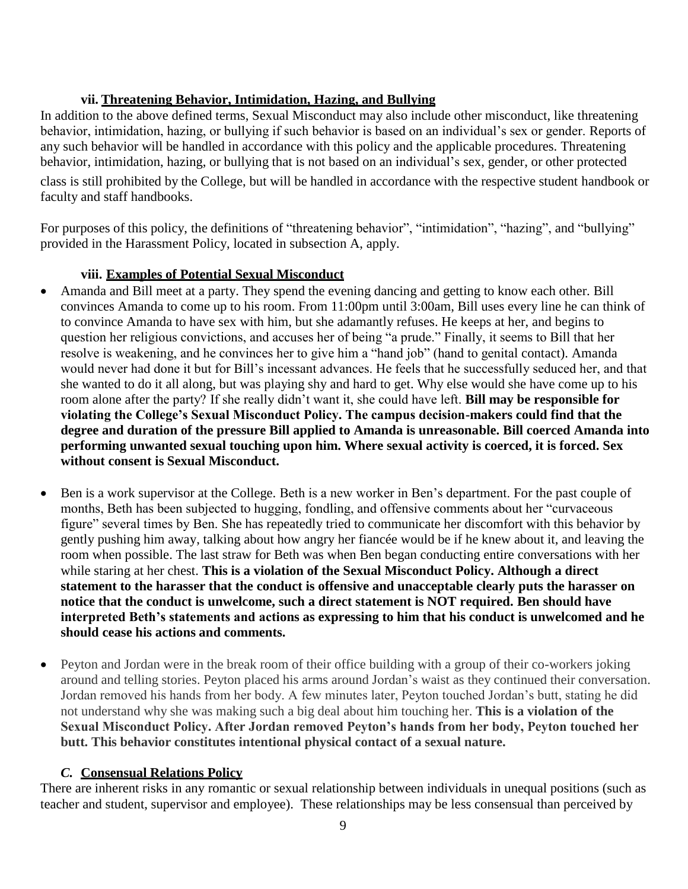### **vii. Threatening Behavior, Intimidation, Hazing, and Bullying**

In addition to the above defined terms, Sexual Misconduct may also include other misconduct, like threatening behavior, intimidation, hazing, or bullying if such behavior is based on an individual's sex or gender. Reports of any such behavior will be handled in accordance with this policy and the applicable procedures. Threatening behavior, intimidation, hazing, or bullying that is not based on an individual's sex, gender, or other protected

class is still prohibited by the College, but will be handled in accordance with the respective student handbook or faculty and staff handbooks.

For purposes of this policy, the definitions of "threatening behavior", "intimidation", "hazing", and "bullying" provided in the Harassment Policy, located in subsection A, apply.

## **viii. Examples of Potential Sexual Misconduct**

- Amanda and Bill meet at a party. They spend the evening dancing and getting to know each other. Bill convinces Amanda to come up to his room. From 11:00pm until 3:00am, Bill uses every line he can think of to convince Amanda to have sex with him, but she adamantly refuses. He keeps at her, and begins to question her religious convictions, and accuses her of being "a prude." Finally, it seems to Bill that her resolve is weakening, and he convinces her to give him a "hand job" (hand to genital contact). Amanda would never had done it but for Bill's incessant advances. He feels that he successfully seduced her, and that she wanted to do it all along, but was playing shy and hard to get. Why else would she have come up to his room alone after the party? If she really didn't want it, she could have left. **Bill may be responsible for violating the College's Sexual Misconduct Policy. The campus decision-makers could find that the degree and duration of the pressure Bill applied to Amanda is unreasonable. Bill coerced Amanda into performing unwanted sexual touching upon him. Where sexual activity is coerced, it is forced. Sex without consent is Sexual Misconduct.**
- Ben is a work supervisor at the College. Beth is a new worker in Ben's department. For the past couple of months, Beth has been subjected to hugging, fondling, and offensive comments about her "curvaceous figure" several times by Ben. She has repeatedly tried to communicate her discomfort with this behavior by gently pushing him away, talking about how angry her fiancée would be if he knew about it, and leaving the room when possible. The last straw for Beth was when Ben began conducting entire conversations with her while staring at her chest. **This is a violation of the Sexual Misconduct Policy. Although a direct statement to the harasser that the conduct is offensive and unacceptable clearly puts the harasser on notice that the conduct is unwelcome, such a direct statement is NOT required. Ben should have interpreted Beth's statements and actions as expressing to him that his conduct is unwelcomed and he should cease his actions and comments.**
- Peyton and Jordan were in the break room of their office building with a group of their co-workers joking around and telling stories. Peyton placed his arms around Jordan's waist as they continued their conversation. Jordan removed his hands from her body. A few minutes later, Peyton touched Jordan's butt, stating he did not understand why she was making such a big deal about him touching her. **This is a violation of the Sexual Misconduct Policy. After Jordan removed Peyton's hands from her body, Peyton touched her butt. This behavior constitutes intentional physical contact of a sexual nature.**

## *C.* **Consensual Relations Policy**

There are inherent risks in any romantic or sexual relationship between individuals in unequal positions (such as teacher and student, supervisor and employee). These relationships may be less consensual than perceived by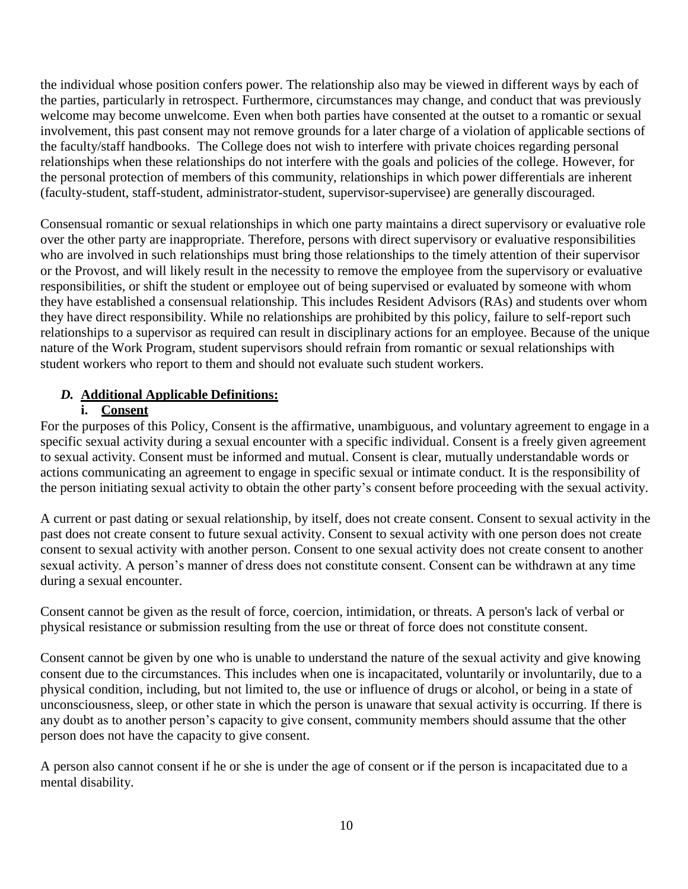the individual whose position confers power. The relationship also may be viewed in different ways by each of the parties, particularly in retrospect. Furthermore, circumstances may change, and conduct that was previously welcome may become unwelcome. Even when both parties have consented at the outset to a romantic or sexual involvement, this past consent may not remove grounds for a later charge of a violation of applicable sections of the faculty/staff handbooks. The College does not wish to interfere with private choices regarding personal relationships when these relationships do not interfere with the goals and policies of the college. However, for the personal protection of members of this community, relationships in which power differentials are inherent (faculty-student, staff-student, administrator-student, supervisor-supervisee) are generally discouraged.

Consensual romantic or sexual relationships in which one party maintains a direct supervisory or evaluative role over the other party are inappropriate. Therefore, persons with direct supervisory or evaluative responsibilities who are involved in such relationships must bring those relationships to the timely attention of their supervisor or the Provost, and will likely result in the necessity to remove the employee from the supervisory or evaluative responsibilities, or shift the student or employee out of being supervised or evaluated by someone with whom they have established a consensual relationship. This includes Resident Advisors (RAs) and students over whom they have direct responsibility. While no relationships are prohibited by this policy, failure to self-report such relationships to a supervisor as required can result in disciplinary actions for an employee. Because of the unique nature of the Work Program, student supervisors should refrain from romantic or sexual relationships with student workers who report to them and should not evaluate such student workers.

# *D.* **Additional Applicable Definitions:**

# **i. Consent**

For the purposes of this Policy, Consent is the affirmative, unambiguous, and voluntary agreement to engage in a specific sexual activity during a sexual encounter with a specific individual. Consent is a freely given agreement to sexual activity. Consent must be informed and mutual. Consent is clear, mutually understandable words or actions communicating an agreement to engage in specific sexual or intimate conduct. It is the responsibility of the person initiating sexual activity to obtain the other party's consent before proceeding with the sexual activity.

A current or past dating or sexual relationship, by itself, does not create consent. Consent to sexual activity in the past does not create consent to future sexual activity. Consent to sexual activity with one person does not create consent to sexual activity with another person. Consent to one sexual activity does not create consent to another sexual activity. A person's manner of dress does not constitute consent. Consent can be withdrawn at any time during a sexual encounter.

Consent cannot be given as the result of force, coercion, intimidation, or threats. A person's lack of verbal or physical resistance or submission resulting from the use or threat of force does not constitute consent.

Consent cannot be given by one who is unable to understand the nature of the sexual activity and give knowing consent due to the circumstances. This includes when one is incapacitated, voluntarily or involuntarily, due to a physical condition, including, but not limited to, the use or influence of drugs or alcohol, or being in a state of unconsciousness, sleep, or other state in which the person is unaware that sexual activity is occurring. If there is any doubt as to another person's capacity to give consent, community members should assume that the other person does not have the capacity to give consent.

A person also cannot consent if he or she is under the age of consent or if the person is incapacitated due to a mental disability.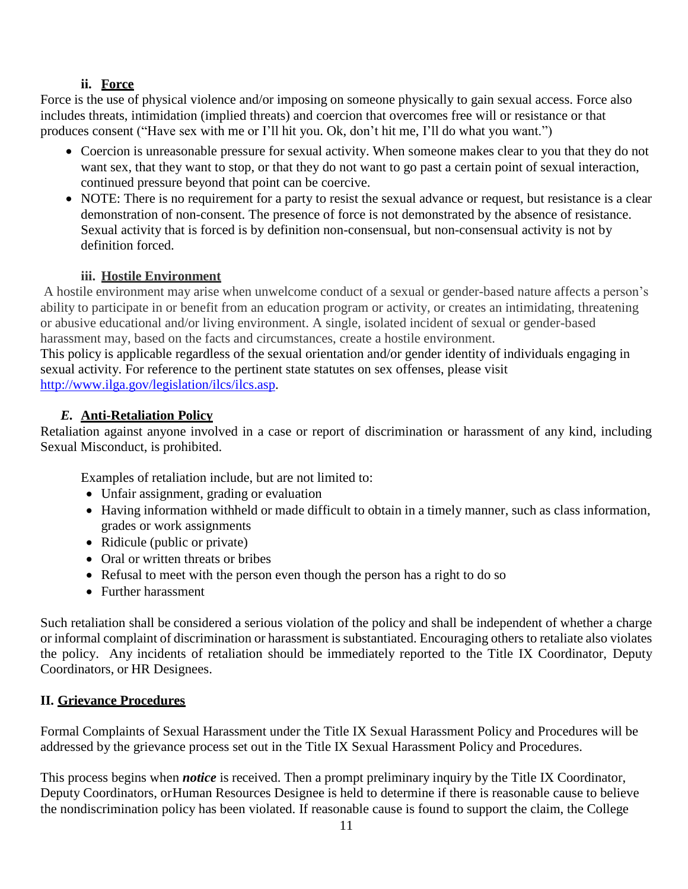# **ii. Force**

Force is the use of physical violence and/or imposing on someone physically to gain sexual access. Force also includes threats, intimidation (implied threats) and coercion that overcomes free will or resistance or that produces consent ("Have sex with me or I'll hit you. Ok, don't hit me, I'll do what you want.")

- Coercion is unreasonable pressure for sexual activity. When someone makes clear to you that they do not want sex, that they want to stop, or that they do not want to go past a certain point of sexual interaction, continued pressure beyond that point can be coercive.
- NOTE: There is no requirement for a party to resist the sexual advance or request, but resistance is a clear demonstration of non-consent. The presence of force is not demonstrated by the absence of resistance. Sexual activity that is forced is by definition non-consensual, but non-consensual activity is not by definition forced.

# **iii. Hostile Environment**

A hostile environment may arise when unwelcome conduct of a sexual or gender-based nature affects a person's ability to participate in or benefit from an education program or activity, or creates an intimidating, threatening or abusive educational and/or living environment. A single, isolated incident of sexual or gender-based harassment may, based on the facts and circumstances, create a hostile environment.

This policy is applicable regardless of the sexual orientation and/or gender identity of individuals engaging in sexual activity. For reference to the pertinent state statutes on sex offenses, please visit [http://www.ilga.gov/legislation/ilcs/ilcs.asp.](http://www.ilga.gov/legislation/ilcs/ilcs.asp)

# *E.* **Anti-Retaliation Policy**

Retaliation against anyone involved in a case or report of discrimination or harassment of any kind, including Sexual Misconduct, is prohibited.

Examples of retaliation include, but are not limited to:

- Unfair assignment, grading or evaluation
- Having information withheld or made difficult to obtain in a timely manner, such as class information, grades or work assignments
- Ridicule (public or private)
- Oral or written threats or bribes
- Refusal to meet with the person even though the person has a right to do so
- Further harassment

Such retaliation shall be considered a serious violation of the policy and shall be independent of whether a charge or informal complaint of discrimination or harassment is substantiated. Encouraging others to retaliate also violates the policy. Any incidents of retaliation should be immediately reported to the Title IX Coordinator, Deputy Coordinators, or HR Designees.

# **II. Grievance Procedures**

Formal Complaints of Sexual Harassment under the Title IX Sexual Harassment Policy and Procedures will be addressed by the grievance process set out in the Title IX Sexual Harassment Policy and Procedures.

This process begins when *notice* is received. Then a prompt preliminary inquiry by the Title IX Coordinator, Deputy Coordinators, or Human Resources Designee is held to determine if there is reasonable cause to believe the nondiscrimination policy has been violated. If reasonable cause is found to support the claim, the College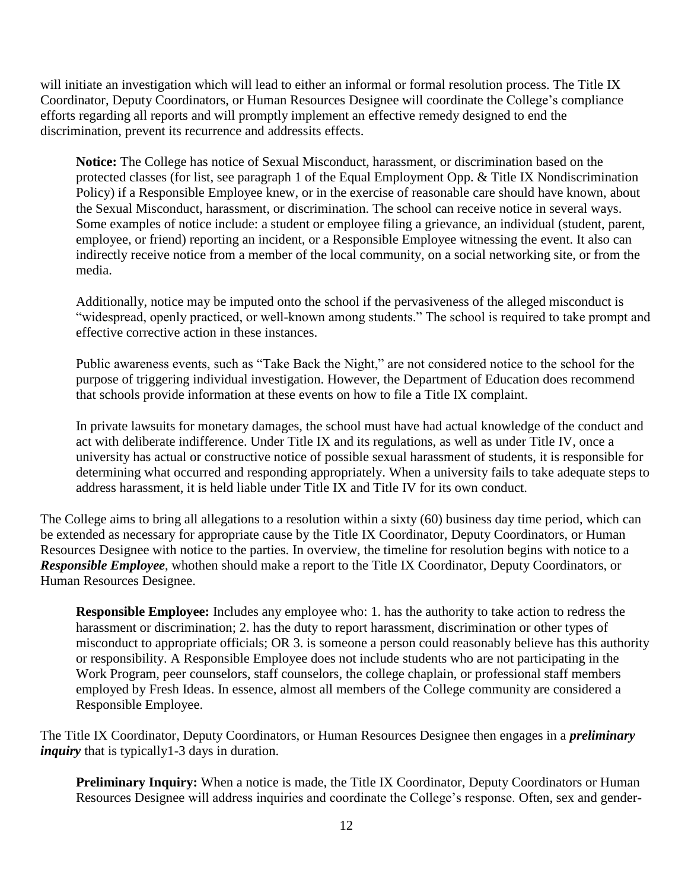will initiate an investigation which will lead to either an informal or formal resolution process. The Title IX Coordinator, Deputy Coordinators, or Human Resources Designee will coordinate the College's compliance efforts regarding all reports and will promptly implement an effective remedy designed to end the discrimination, prevent its recurrence and addressits effects.

**Notice:** The College has notice of Sexual Misconduct, harassment, or discrimination based on the protected classes (for list, see paragraph 1 of the Equal Employment Opp. & Title IX Nondiscrimination Policy) if a Responsible Employee knew, or in the exercise of reasonable care should have known, about the Sexual Misconduct, harassment, or discrimination. The school can receive notice in several ways. Some examples of notice include: a student or employee filing a grievance, an individual (student, parent, employee, or friend) reporting an incident, or a Responsible Employee witnessing the event. It also can indirectly receive notice from a member of the local community, on a social networking site, or from the media.

Additionally, notice may be imputed onto the school if the pervasiveness of the alleged misconduct is "widespread, openly practiced, or well-known among students." The school is required to take prompt and effective corrective action in these instances.

Public awareness events, such as "Take Back the Night," are not considered notice to the school for the purpose of triggering individual investigation. However, the Department of Education does recommend that schools provide information at these events on how to file a Title IX complaint.

In private lawsuits for monetary damages, the school must have had actual knowledge of the conduct and act with deliberate indifference. Under Title IX and its regulations, as well as under Title IV, once a university has actual or constructive notice of possible sexual harassment of students, it is responsible for determining what occurred and responding appropriately. When a university fails to take adequate steps to address harassment, it is held liable under Title IX and Title IV for its own conduct.

The College aims to bring all allegations to a resolution within a sixty (60) business day time period, which can be extended as necessary for appropriate cause by the Title IX Coordinator, Deputy Coordinators, or Human Resources Designee with notice to the parties. In overview, the timeline for resolution begins with notice to a *Responsible Employee*, whothen should make a report to the Title IX Coordinator, Deputy Coordinators, or Human Resources Designee.

**Responsible Employee:** Includes any employee who: 1. has the authority to take action to redress the harassment or discrimination; 2. has the duty to report harassment, discrimination or other types of misconduct to appropriate officials; OR 3. is someone a person could reasonably believe has this authority or responsibility. A Responsible Employee does not include students who are not participating in the Work Program, peer counselors, staff counselors, the college chaplain, or professional staff members employed by Fresh Ideas. In essence, almost all members of the College community are considered a Responsible Employee.

The Title IX Coordinator, Deputy Coordinators, or Human Resources Designee then engages in a *preliminary inquiry* that is typically1-3 days in duration.

**Preliminary Inquiry:** When a notice is made, the Title IX Coordinator, Deputy Coordinators or Human Resources Designee will address inquiries and coordinate the College's response. Often, sex and gender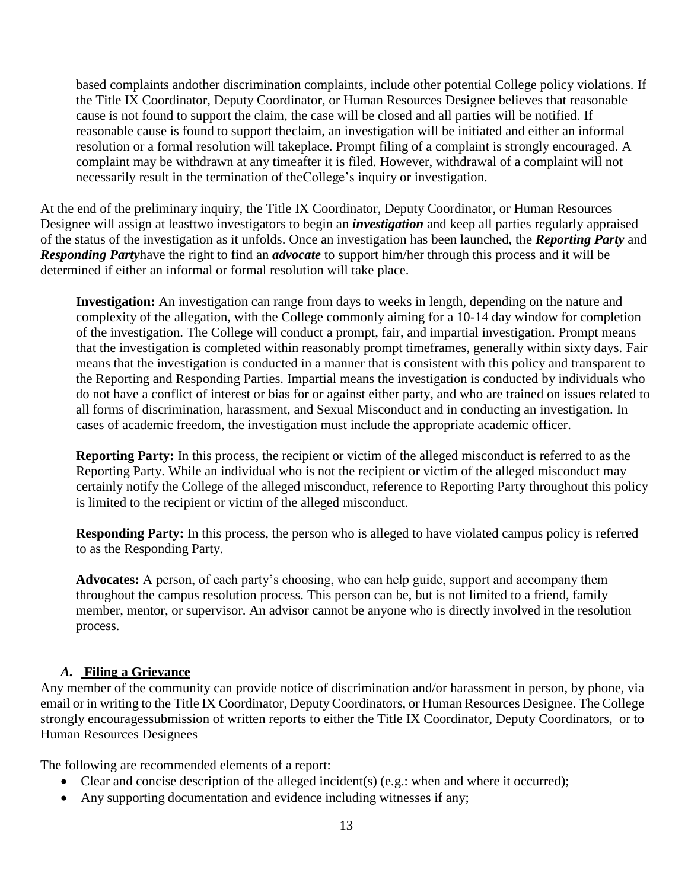based complaints andother discrimination complaints, include other potential College policy violations. If the Title IX Coordinator, Deputy Coordinator, or Human Resources Designee believes that reasonable cause is not found to support the claim, the case will be closed and all parties will be notified. If reasonable cause is found to support theclaim, an investigation will be initiated and either an informal resolution or a formal resolution will takeplace. Prompt filing of a complaint is strongly encouraged. A complaint may be withdrawn at any timeafter it is filed. However, withdrawal of a complaint will not necessarily result in the termination of theCollege's inquiry or investigation.

At the end of the preliminary inquiry, the Title IX Coordinator, Deputy Coordinator, or Human Resources Designee will assign at leasttwo investigators to begin an *investigation* and keep all parties regularly appraised of the status of the investigation as it unfolds. Once an investigation has been launched, the *Reporting Party* and *Responding Party*have the right to find an *advocate* to support him/her through this process and it will be determined if either an informal or formal resolution will take place.

**Investigation:** An investigation can range from days to weeks in length, depending on the nature and complexity of the allegation, with the College commonly aiming for a 10-14 day window for completion of the investigation. The College will conduct a prompt, fair, and impartial investigation. Prompt means that the investigation is completed within reasonably prompt timeframes, generally within sixty days. Fair means that the investigation is conducted in a manner that is consistent with this policy and transparent to the Reporting and Responding Parties. Impartial means the investigation is conducted by individuals who do not have a conflict of interest or bias for or against either party, and who are trained on issues related to all forms of discrimination, harassment, and Sexual Misconduct and in conducting an investigation. In cases of academic freedom, the investigation must include the appropriate academic officer.

**Reporting Party:** In this process, the recipient or victim of the alleged misconduct is referred to as the Reporting Party. While an individual who is not the recipient or victim of the alleged misconduct may certainly notify the College of the alleged misconduct, reference to Reporting Party throughout this policy is limited to the recipient or victim of the alleged misconduct.

**Responding Party:** In this process, the person who is alleged to have violated campus policy is referred to as the Responding Party.

**Advocates:** A person, of each party's choosing, who can help guide, support and accompany them throughout the campus resolution process. This person can be, but is not limited to a friend, family member, mentor, or supervisor. An advisor cannot be anyone who is directly involved in the resolution process.

## *A.* **Filing a Grievance**

Any member of the community can provide notice of discrimination and/or harassment in person, by phone, via email or in writing to the Title IX Coordinator, Deputy Coordinators, or Human Resources Designee. The College strongly encouragessubmission of written reports to either the Title IX Coordinator, Deputy Coordinators, or to Human Resources Designees

The following are recommended elements of a report:

- Clear and concise description of the alleged incident(s) (e.g.: when and where it occurred);
- Any supporting documentation and evidence including witnesses if any;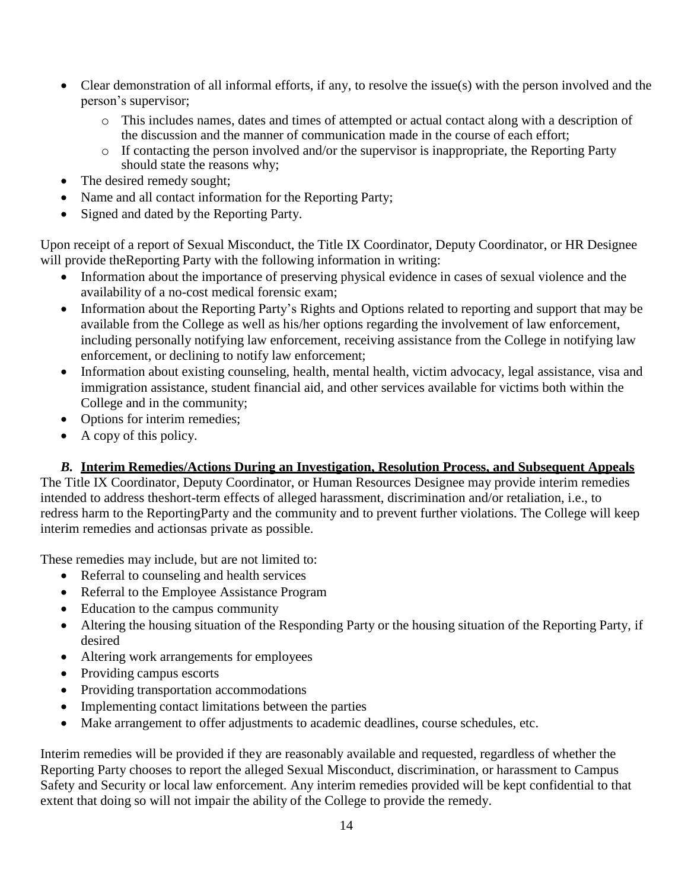- Clear demonstration of all informal efforts, if any, to resolve the issue(s) with the person involved and the person's supervisor;
	- o This includes names, dates and times of attempted or actual contact along with a description of the discussion and the manner of communication made in the course of each effort;
	- o If contacting the person involved and/or the supervisor is inappropriate, the Reporting Party should state the reasons why;
- The desired remedy sought;
- Name and all contact information for the Reporting Party;
- Signed and dated by the Reporting Party.

Upon receipt of a report of Sexual Misconduct, the Title IX Coordinator, Deputy Coordinator, or HR Designee will provide the Reporting Party with the following information in writing:

- Information about the importance of preserving physical evidence in cases of sexual violence and the availability of a no-cost medical forensic exam;
- Information about the Reporting Party's Rights and Options related to reporting and support that may be available from the College as well as his/her options regarding the involvement of law enforcement, including personally notifying law enforcement, receiving assistance from the College in notifying law enforcement, or declining to notify law enforcement;
- Information about existing counseling, health, mental health, victim advocacy, legal assistance, visa and immigration assistance, student financial aid, and other services available for victims both within the College and in the community;
- Options for interim remedies;
- A copy of this policy.

## *B.* **Interim Remedies/Actions During an Investigation, Resolution Process, and Subsequent Appeals**

The Title IX Coordinator, Deputy Coordinator, or Human Resources Designee may provide interim remedies intended to address theshort-term effects of alleged harassment, discrimination and/or retaliation, i.e., to redress harm to the ReportingParty and the community and to prevent further violations. The College will keep interim remedies and actionsas private as possible.

These remedies may include, but are not limited to:

- Referral to counseling and health services
- Referral to the Employee Assistance Program
- Education to the campus community
- Altering the housing situation of the Responding Party or the housing situation of the Reporting Party, if desired
- Altering work arrangements for employees
- Providing campus escorts
- Providing transportation accommodations
- Implementing contact limitations between the parties
- Make arrangement to offer adjustments to academic deadlines, course schedules, etc.

Interim remedies will be provided if they are reasonably available and requested, regardless of whether the Reporting Party chooses to report the alleged Sexual Misconduct, discrimination, or harassment to Campus Safety and Security or local law enforcement. Any interim remedies provided will be kept confidential to that extent that doing so will not impair the ability of the College to provide the remedy.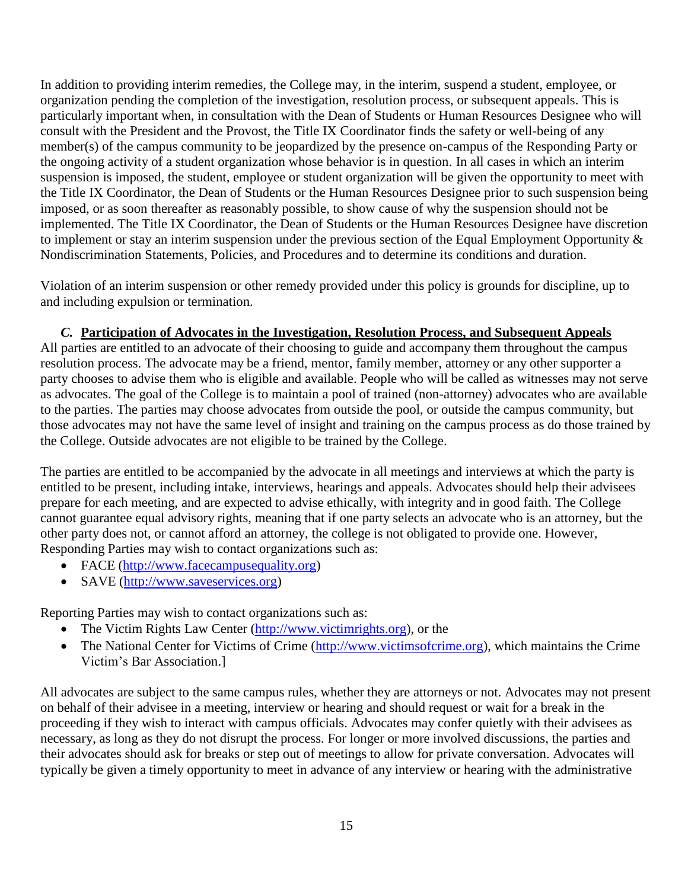In addition to providing interim remedies, the College may, in the interim, suspend a student, employee, or organization pending the completion of the investigation, resolution process, or subsequent appeals. This is particularly important when, in consultation with the Dean of Students or Human Resources Designee who will consult with the President and the Provost, the Title IX Coordinator finds the safety or well-being of any member(s) of the campus community to be jeopardized by the presence on-campus of the Responding Party or the ongoing activity of a student organization whose behavior is in question. In all cases in which an interim suspension is imposed, the student, employee or student organization will be given the opportunity to meet with the Title IX Coordinator, the Dean of Students or the Human Resources Designee prior to such suspension being imposed, or as soon thereafter as reasonably possible, to show cause of why the suspension should not be implemented. The Title IX Coordinator, the Dean of Students or the Human Resources Designee have discretion to implement or stay an interim suspension under the previous section of the Equal Employment Opportunity & Nondiscrimination Statements, Policies, and Procedures and to determine its conditions and duration.

Violation of an interim suspension or other remedy provided under this policy is grounds for discipline, up to and including expulsion or termination.

## *C.* **Participation of Advocates in the Investigation, Resolution Process, and Subsequent Appeals**

All parties are entitled to an advocate of their choosing to guide and accompany them throughout the campus resolution process. The advocate may be a friend, mentor, family member, attorney or any other supporter a party chooses to advise them who is eligible and available. People who will be called as witnesses may not serve as advocates. The goal of the College is to maintain a pool of trained (non-attorney) advocates who are available to the parties. The parties may choose advocates from outside the pool, or outside the campus community, but those advocates may not have the same level of insight and training on the campus process as do those trained by the College. Outside advocates are not eligible to be trained by the College.

The parties are entitled to be accompanied by the advocate in all meetings and interviews at which the party is entitled to be present, including intake, interviews, hearings and appeals. Advocates should help their advisees prepare for each meeting, and are expected to advise ethically, with integrity and in good faith. The College cannot guarantee equal advisory rights, meaning that if one party selects an advocate who is an attorney, but the other party does not, or cannot afford an attorney, the college is not obligated to provide one. However, Responding Parties may wish to contact organizations such as:

- FACE [\(http://www.facecampusequality.org\)](http://www.facecampusequality.org/)
- SAVE [\(http://www.saveservices.org\)](http://www.saveservices.org/)

Reporting Parties may wish to contact organizations such as:

- The Victim Rights Law Center [\(http://www.victimrights.org\)](http://www.victimrights.org/), or the
- The National Center for Victims of Crime [\(http://www.victimsofcrime.org\)](http://www.victimsofcrime.org/), which maintains the Crime Victim's Bar Association.]

All advocates are subject to the same campus rules, whether they are attorneys or not. Advocates may not present on behalf of their advisee in a meeting, interview or hearing and should request or wait for a break in the proceeding if they wish to interact with campus officials. Advocates may confer quietly with their advisees as necessary, as long as they do not disrupt the process. For longer or more involved discussions, the parties and their advocates should ask for breaks or step out of meetings to allow for private conversation. Advocates will typically be given a timely opportunity to meet in advance of any interview or hearing with the administrative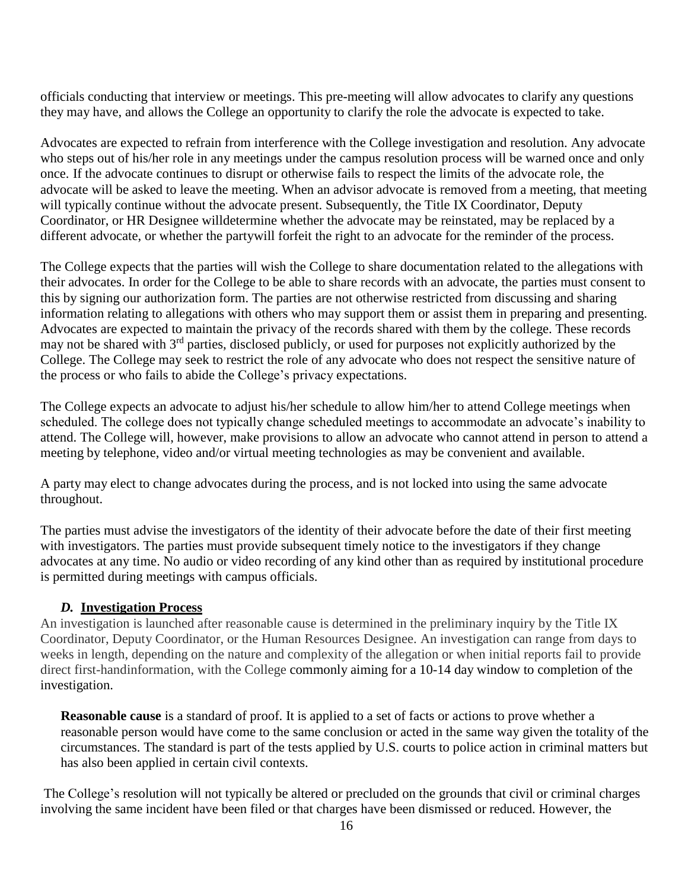officials conducting that interview or meetings. This pre-meeting will allow advocates to clarify any questions they may have, and allows the College an opportunity to clarify the role the advocate is expected to take.

Advocates are expected to refrain from interference with the College investigation and resolution. Any advocate who steps out of his/her role in any meetings under the campus resolution process will be warned once and only once. If the advocate continues to disrupt or otherwise fails to respect the limits of the advocate role, the advocate will be asked to leave the meeting. When an advisor advocate is removed from a meeting, that meeting will typically continue without the advocate present. Subsequently, the Title IX Coordinator, Deputy Coordinator, or HR Designee willdetermine whether the advocate may be reinstated, may be replaced by a different advocate, or whether the partywill forfeit the right to an advocate for the reminder of the process.

The College expects that the parties will wish the College to share documentation related to the allegations with their advocates. In order for the College to be able to share records with an advocate, the parties must consent to this by signing our authorization form. The parties are not otherwise restricted from discussing and sharing information relating to allegations with others who may support them or assist them in preparing and presenting. Advocates are expected to maintain the privacy of the records shared with them by the college. These records may not be shared with 3<sup>rd</sup> parties, disclosed publicly, or used for purposes not explicitly authorized by the College. The College may seek to restrict the role of any advocate who does not respect the sensitive nature of the process or who fails to abide the College's privacy expectations.

The College expects an advocate to adjust his/her schedule to allow him/her to attend College meetings when scheduled. The college does not typically change scheduled meetings to accommodate an advocate's inability to attend. The College will, however, make provisions to allow an advocate who cannot attend in person to attend a meeting by telephone, video and/or virtual meeting technologies as may be convenient and available.

A party may elect to change advocates during the process, and is not locked into using the same advocate throughout.

The parties must advise the investigators of the identity of their advocate before the date of their first meeting with investigators. The parties must provide subsequent timely notice to the investigators if they change advocates at any time. No audio or video recording of any kind other than as required by institutional procedure is permitted during meetings with campus officials.

## *D.* **Investigation Process**

An investigation is launched after reasonable cause is determined in the preliminary inquiry by the Title IX Coordinator, Deputy Coordinator, or the Human Resources Designee. An investigation can range from days to weeks in length, depending on the nature and complexity of the allegation or when initial reports fail to provide direct first-handinformation, with the College commonly aiming for a 10-14 day window to completion of the investigation.

**Reasonable cause** is a standard of proof. It is applied to a set of facts or actions to prove whether a reasonable person would have come to the same conclusion or acted in the same way given the totality of the circumstances. The standard is part of the tests applied by U.S. courts to police action in criminal matters but has also been applied in certain civil contexts.

The College's resolution will not typically be altered or precluded on the grounds that civil or criminal charges involving the same incident have been filed or that charges have been dismissed or reduced. However, the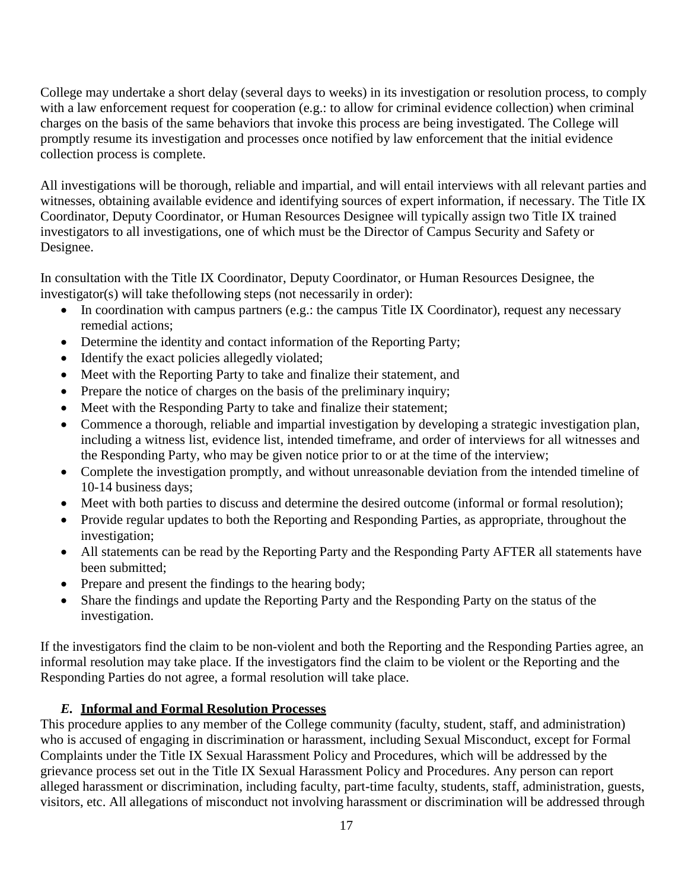College may undertake a short delay (several days to weeks) in its investigation or resolution process, to comply with a law enforcement request for cooperation (e.g.: to allow for criminal evidence collection) when criminal charges on the basis of the same behaviors that invoke this process are being investigated. The College will promptly resume its investigation and processes once notified by law enforcement that the initial evidence collection process is complete.

All investigations will be thorough, reliable and impartial, and will entail interviews with all relevant parties and witnesses, obtaining available evidence and identifying sources of expert information, if necessary. The Title IX Coordinator, Deputy Coordinator, or Human Resources Designee will typically assign two Title IX trained investigators to all investigations, one of which must be the Director of Campus Security and Safety or Designee.

In consultation with the Title IX Coordinator, Deputy Coordinator, or Human Resources Designee, the investigator(s) will take thefollowing steps (not necessarily in order):

- In coordination with campus partners (e.g.: the campus Title IX Coordinator), request any necessary remedial actions;
- Determine the identity and contact information of the Reporting Party;
- Identify the exact policies allegedly violated;
- Meet with the Reporting Party to take and finalize their statement, and
- Prepare the notice of charges on the basis of the preliminary inquiry;
- Meet with the Responding Party to take and finalize their statement;
- Commence a thorough, reliable and impartial investigation by developing a strategic investigation plan, including a witness list, evidence list, intended timeframe, and order of interviews for all witnesses and the Responding Party, who may be given notice prior to or at the time of the interview;
- Complete the investigation promptly, and without unreasonable deviation from the intended timeline of 10-14 business days;
- Meet with both parties to discuss and determine the desired outcome (informal or formal resolution);
- Provide regular updates to both the Reporting and Responding Parties, as appropriate, throughout the investigation;
- All statements can be read by the Reporting Party and the Responding Party AFTER all statements have been submitted;
- Prepare and present the findings to the hearing body;
- Share the findings and update the Reporting Party and the Responding Party on the status of the investigation.

If the investigators find the claim to be non-violent and both the Reporting and the Responding Parties agree, an informal resolution may take place. If the investigators find the claim to be violent or the Reporting and the Responding Parties do not agree, a formal resolution will take place.

## *E.* **Informal and Formal Resolution Processes**

This procedure applies to any member of the College community (faculty, student, staff, and administration) who is accused of engaging in discrimination or harassment, including Sexual Misconduct, except for Formal Complaints under the Title IX Sexual Harassment Policy and Procedures, which will be addressed by the grievance process set out in the Title IX Sexual Harassment Policy and Procedures. Any person can report alleged harassment or discrimination, including faculty, part-time faculty, students, staff, administration, guests, visitors, etc. All allegations of misconduct not involving harassment or discrimination will be addressed through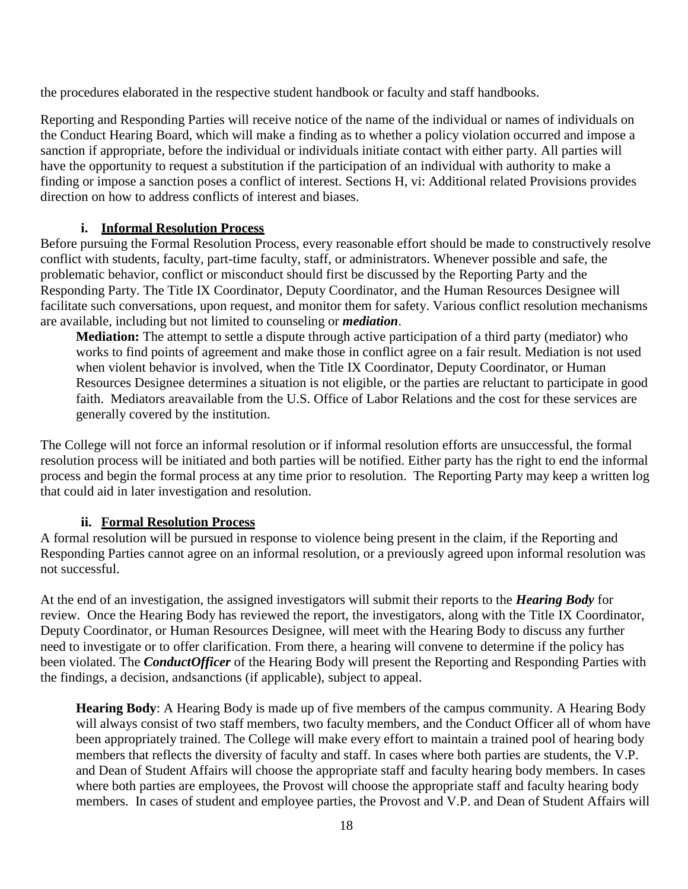the procedures elaborated in the respective student handbook or faculty and staff handbooks.

Reporting and Responding Parties will receive notice of the name of the individual or names of individuals on the Conduct Hearing Board, which will make a finding as to whether a policy violation occurred and impose a sanction if appropriate, before the individual or individuals initiate contact with either party. All parties will have the opportunity to request a substitution if the participation of an individual with authority to make a finding or impose a sanction poses a conflict of interest. Sections H, vi: Additional related Provisions provides direction on how to address conflicts of interest and biases.

### **i. Informal Resolution Process**

Before pursuing the Formal Resolution Process, every reasonable effort should be made to constructively resolve conflict with students, faculty, part-time faculty, staff, or administrators. Whenever possible and safe, the problematic behavior, conflict or misconduct should first be discussed by the Reporting Party and the Responding Party. The Title IX Coordinator, Deputy Coordinator, and the Human Resources Designee will facilitate such conversations, upon request, and monitor them for safety. Various conflict resolution mechanisms are available, including but not limited to counseling or *mediation*.

**Mediation:** The attempt to settle a dispute through active participation of a third party (mediator) who works to find points of agreement and make those in conflict agree on a fair result. Mediation is not used when violent behavior is involved, when the Title IX Coordinator, Deputy Coordinator, or Human Resources Designee determines a situation is not eligible, or the parties are reluctant to participate in good faith. Mediators areavailable from the U.S. Office of Labor Relations and the cost for these services are generally covered by the institution.

The College will not force an informal resolution or if informal resolution efforts are unsuccessful, the formal resolution process will be initiated and both parties will be notified. Either party has the right to end the informal process and begin the formal process at any time prior to resolution. The Reporting Party may keep a written log that could aid in later investigation and resolution.

#### **ii. Formal Resolution Process**

A formal resolution will be pursued in response to violence being present in the claim, if the Reporting and Responding Parties cannot agree on an informal resolution, or a previously agreed upon informal resolution was not successful.

At the end of an investigation, the assigned investigators will submit their reports to the *Hearing Body* for review. Once the Hearing Body has reviewed the report, the investigators, along with the Title IX Coordinator, Deputy Coordinator, or Human Resources Designee, will meet with the Hearing Body to discuss any further need to investigate or to offer clarification. From there, a hearing will convene to determine if the policy has been violated. The *ConductOfficer* of the Hearing Body will present the Reporting and Responding Parties with the findings, a decision, andsanctions (if applicable), subject to appeal.

**Hearing Body**: A Hearing Body is made up of five members of the campus community. A Hearing Body will always consist of two staff members, two faculty members, and the Conduct Officer all of whom have been appropriately trained. The College will make every effort to maintain a trained pool of hearing body members that reflects the diversity of faculty and staff. In cases where both parties are students, the V.P. and Dean of Student Affairs will choose the appropriate staff and faculty hearing body members. In cases where both parties are employees, the Provost will choose the appropriate staff and faculty hearing body members. In cases of student and employee parties, the Provost and V.P. and Dean of Student Affairs will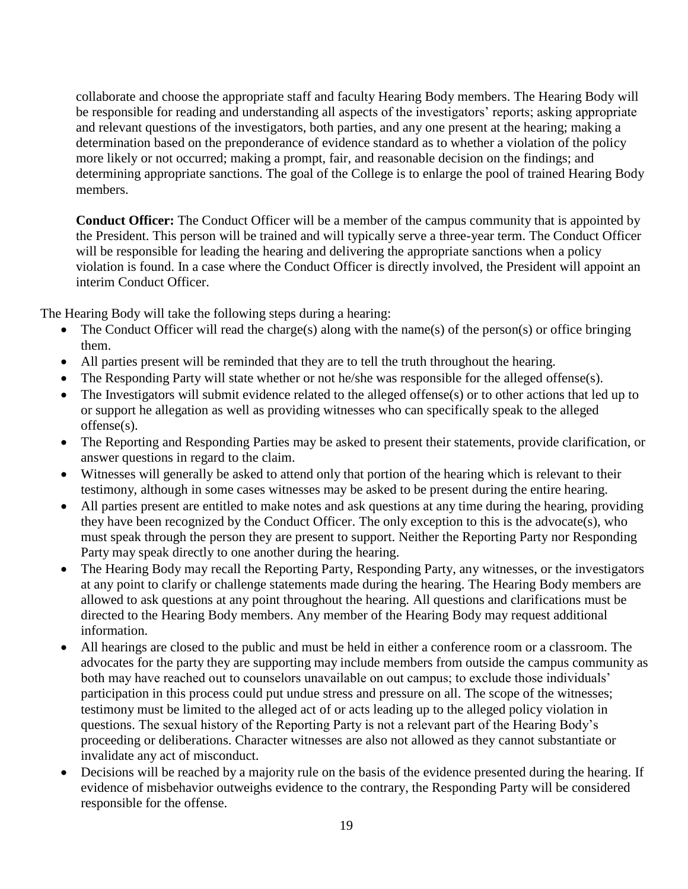collaborate and choose the appropriate staff and faculty Hearing Body members. The Hearing Body will be responsible for reading and understanding all aspects of the investigators' reports; asking appropriate and relevant questions of the investigators, both parties, and any one present at the hearing; making a determination based on the preponderance of evidence standard as to whether a violation of the policy more likely or not occurred; making a prompt, fair, and reasonable decision on the findings; and determining appropriate sanctions. The goal of the College is to enlarge the pool of trained Hearing Body members.

**Conduct Officer:** The Conduct Officer will be a member of the campus community that is appointed by the President. This person will be trained and will typically serve a three-year term. The Conduct Officer will be responsible for leading the hearing and delivering the appropriate sanctions when a policy violation is found. In a case where the Conduct Officer is directly involved, the President will appoint an interim Conduct Officer.

The Hearing Body will take the following steps during a hearing:

- The Conduct Officer will read the charge(s) along with the name(s) of the person(s) or office bringing them.
- All parties present will be reminded that they are to tell the truth throughout the hearing.
- The Responding Party will state whether or not he/she was responsible for the alleged offense(s).
- The Investigators will submit evidence related to the alleged offense(s) or to other actions that led up to or support he allegation as well as providing witnesses who can specifically speak to the alleged offense(s).
- The Reporting and Responding Parties may be asked to present their statements, provide clarification, or answer questions in regard to the claim.
- Witnesses will generally be asked to attend only that portion of the hearing which is relevant to their testimony, although in some cases witnesses may be asked to be present during the entire hearing.
- All parties present are entitled to make notes and ask questions at any time during the hearing, providing they have been recognized by the Conduct Officer. The only exception to this is the advocate(s), who must speak through the person they are present to support. Neither the Reporting Party nor Responding Party may speak directly to one another during the hearing.
- The Hearing Body may recall the Reporting Party, Responding Party, any witnesses, or the investigators at any point to clarify or challenge statements made during the hearing. The Hearing Body members are allowed to ask questions at any point throughout the hearing. All questions and clarifications must be directed to the Hearing Body members. Any member of the Hearing Body may request additional information.
- All hearings are closed to the public and must be held in either a conference room or a classroom. The advocates for the party they are supporting may include members from outside the campus community as both may have reached out to counselors unavailable on out campus; to exclude those individuals' participation in this process could put undue stress and pressure on all. The scope of the witnesses; testimony must be limited to the alleged act of or acts leading up to the alleged policy violation in questions. The sexual history of the Reporting Party is not a relevant part of the Hearing Body's proceeding or deliberations. Character witnesses are also not allowed as they cannot substantiate or invalidate any act of misconduct.
- Decisions will be reached by a majority rule on the basis of the evidence presented during the hearing. If evidence of misbehavior outweighs evidence to the contrary, the Responding Party will be considered responsible for the offense.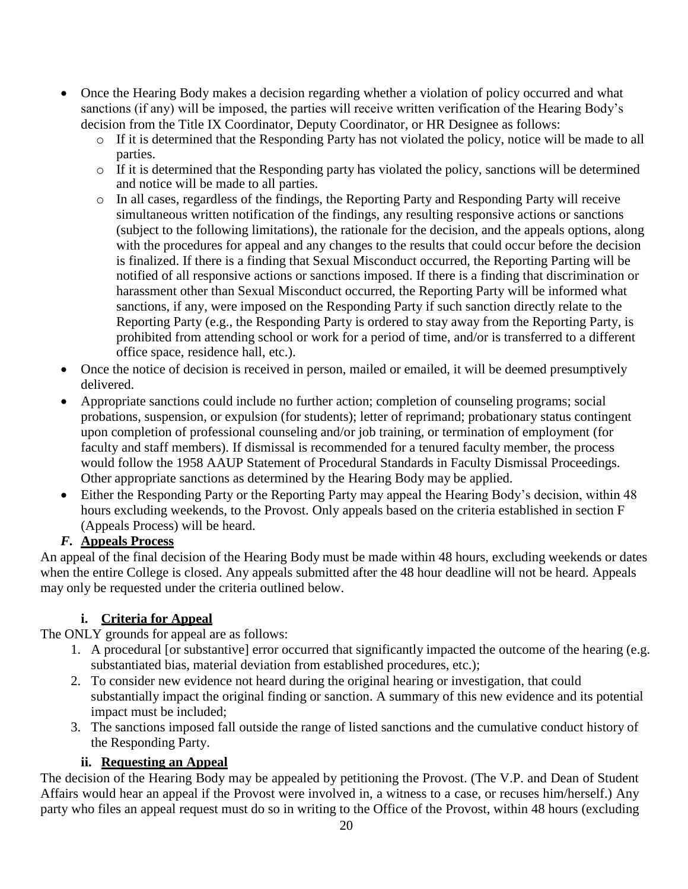- Once the Hearing Body makes a decision regarding whether a violation of policy occurred and what sanctions (if any) will be imposed, the parties will receive written verification of the Hearing Body's decision from the Title IX Coordinator, Deputy Coordinator, or HR Designee as follows:
	- o If it is determined that the Responding Party has not violated the policy, notice will be made to all parties.
	- o If it is determined that the Responding party has violated the policy, sanctions will be determined and notice will be made to all parties.
	- o In all cases, regardless of the findings, the Reporting Party and Responding Party will receive simultaneous written notification of the findings, any resulting responsive actions or sanctions (subject to the following limitations), the rationale for the decision, and the appeals options, along with the procedures for appeal and any changes to the results that could occur before the decision is finalized. If there is a finding that Sexual Misconduct occurred, the Reporting Parting will be notified of all responsive actions or sanctions imposed. If there is a finding that discrimination or harassment other than Sexual Misconduct occurred, the Reporting Party will be informed what sanctions, if any, were imposed on the Responding Party if such sanction directly relate to the Reporting Party (e.g., the Responding Party is ordered to stay away from the Reporting Party, is prohibited from attending school or work for a period of time, and/or is transferred to a different office space, residence hall, etc.).
- Once the notice of decision is received in person, mailed or emailed, it will be deemed presumptively delivered.
- Appropriate sanctions could include no further action; completion of counseling programs; social probations, suspension, or expulsion (for students); letter of reprimand; probationary status contingent upon completion of professional counseling and/or job training, or termination of employment (for faculty and staff members). If dismissal is recommended for a tenured faculty member, the process would follow the 1958 AAUP Statement of Procedural Standards in Faculty Dismissal Proceedings. Other appropriate sanctions as determined by the Hearing Body may be applied.
- Either the Responding Party or the Reporting Party may appeal the Hearing Body's decision, within 48 hours excluding weekends, to the Provost. Only appeals based on the criteria established in section F (Appeals Process) will be heard.

# *F.* **Appeals Process**

An appeal of the final decision of the Hearing Body must be made within 48 hours, excluding weekends or dates when the entire College is closed. Any appeals submitted after the 48 hour deadline will not be heard. Appeals may only be requested under the criteria outlined below.

# **i. Criteria for Appeal**

The ONLY grounds for appeal are as follows:

- 1. A procedural [or substantive] error occurred that significantly impacted the outcome of the hearing (e.g. substantiated bias, material deviation from established procedures, etc.);
- 2. To consider new evidence not heard during the original hearing or investigation, that could substantially impact the original finding or sanction. A summary of this new evidence and its potential impact must be included;
- 3. The sanctions imposed fall outside the range of listed sanctions and the cumulative conduct history of the Responding Party.

# **ii. Requesting an Appeal**

The decision of the Hearing Body may be appealed by petitioning the Provost. (The V.P. and Dean of Student Affairs would hear an appeal if the Provost were involved in, a witness to a case, or recuses him/herself.) Any party who files an appeal request must do so in writing to the Office of the Provost, within 48 hours (excluding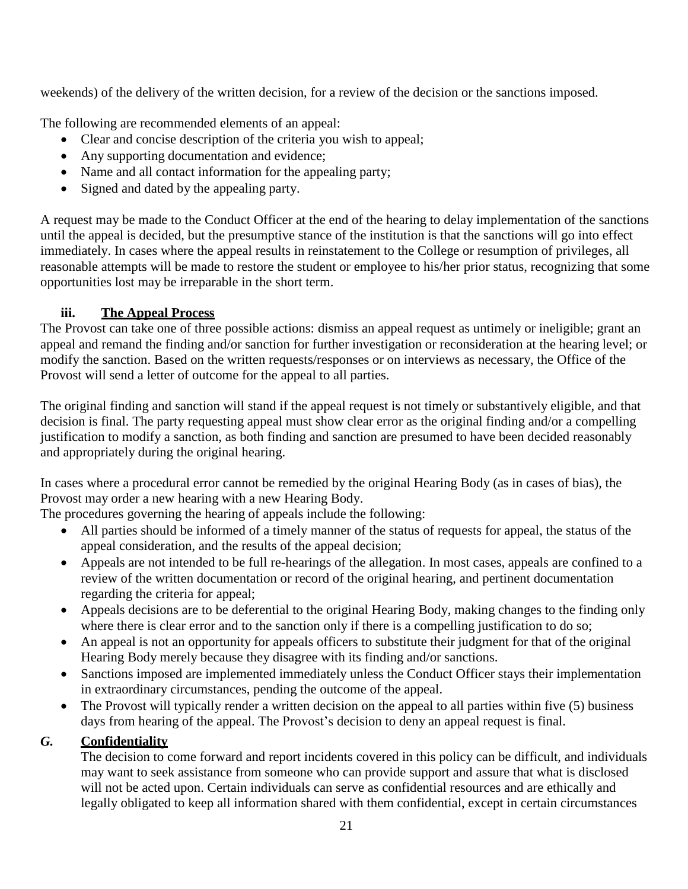weekends) of the delivery of the written decision, for a review of the decision or the sanctions imposed.

The following are recommended elements of an appeal:

- Clear and concise description of the criteria you wish to appeal;
- Any supporting documentation and evidence;
- Name and all contact information for the appealing party;
- Signed and dated by the appealing party.

A request may be made to the Conduct Officer at the end of the hearing to delay implementation of the sanctions until the appeal is decided, but the presumptive stance of the institution is that the sanctions will go into effect immediately. In cases where the appeal results in reinstatement to the College or resumption of privileges, all reasonable attempts will be made to restore the student or employee to his/her prior status, recognizing that some opportunities lost may be irreparable in the short term.

## **iii. The Appeal Process**

The Provost can take one of three possible actions: dismiss an appeal request as untimely or ineligible; grant an appeal and remand the finding and/or sanction for further investigation or reconsideration at the hearing level; or modify the sanction. Based on the written requests/responses or on interviews as necessary, the Office of the Provost will send a letter of outcome for the appeal to all parties.

The original finding and sanction will stand if the appeal request is not timely or substantively eligible, and that decision is final. The party requesting appeal must show clear error as the original finding and/or a compelling justification to modify a sanction, as both finding and sanction are presumed to have been decided reasonably and appropriately during the original hearing.

In cases where a procedural error cannot be remedied by the original Hearing Body (as in cases of bias), the Provost may order a new hearing with a new Hearing Body.

The procedures governing the hearing of appeals include the following:

- All parties should be informed of a timely manner of the status of requests for appeal, the status of the appeal consideration, and the results of the appeal decision;
- Appeals are not intended to be full re-hearings of the allegation. In most cases, appeals are confined to a review of the written documentation or record of the original hearing, and pertinent documentation regarding the criteria for appeal;
- Appeals decisions are to be deferential to the original Hearing Body, making changes to the finding only where there is clear error and to the sanction only if there is a compelling justification to do so;
- An appeal is not an opportunity for appeals officers to substitute their judgment for that of the original Hearing Body merely because they disagree with its finding and/or sanctions.
- Sanctions imposed are implemented immediately unless the Conduct Officer stays their implementation in extraordinary circumstances, pending the outcome of the appeal.
- The Provost will typically render a written decision on the appeal to all parties within five (5) business days from hearing of the appeal. The Provost's decision to deny an appeal request is final.

# *G.* **Confidentiality**

The decision to come forward and report incidents covered in this policy can be difficult, and individuals may want to seek assistance from someone who can provide support and assure that what is disclosed will not be acted upon. Certain individuals can serve as confidential resources and are ethically and legally obligated to keep all information shared with them confidential, except in certain circumstances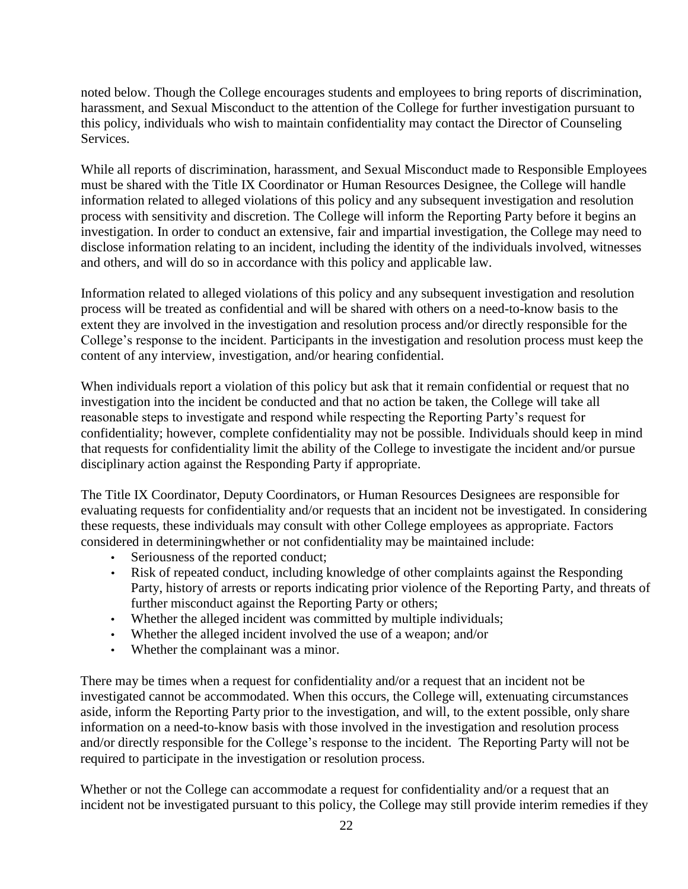noted below. Though the College encourages students and employees to bring reports of discrimination, harassment, and Sexual Misconduct to the attention of the College for further investigation pursuant to this policy, individuals who wish to maintain confidentiality may contact the Director of Counseling Services.

While all reports of discrimination, harassment, and Sexual Misconduct made to Responsible Employees must be shared with the Title IX Coordinator or Human Resources Designee, the College will handle information related to alleged violations of this policy and any subsequent investigation and resolution process with sensitivity and discretion. The College will inform the Reporting Party before it begins an investigation. In order to conduct an extensive, fair and impartial investigation, the College may need to disclose information relating to an incident, including the identity of the individuals involved, witnesses and others, and will do so in accordance with this policy and applicable law.

Information related to alleged violations of this policy and any subsequent investigation and resolution process will be treated as confidential and will be shared with others on a need-to-know basis to the extent they are involved in the investigation and resolution process and/or directly responsible for the College's response to the incident. Participants in the investigation and resolution process must keep the content of any interview, investigation, and/or hearing confidential.

When individuals report a violation of this policy but ask that it remain confidential or request that no investigation into the incident be conducted and that no action be taken, the College will take all reasonable steps to investigate and respond while respecting the Reporting Party's request for confidentiality; however, complete confidentiality may not be possible. Individuals should keep in mind that requests for confidentiality limit the ability of the College to investigate the incident and/or pursue disciplinary action against the Responding Party if appropriate.

The Title IX Coordinator, Deputy Coordinators, or Human Resources Designees are responsible for evaluating requests for confidentiality and/or requests that an incident not be investigated. In considering these requests, these individuals may consult with other College employees as appropriate. Factors considered in determiningwhether or not confidentiality may be maintained include:

- Seriousness of the reported conduct;
- Risk of repeated conduct, including knowledge of other complaints against the Responding Party, history of arrests or reports indicating prior violence of the Reporting Party, and threats of further misconduct against the Reporting Party or others;
- Whether the alleged incident was committed by multiple individuals;
- Whether the alleged incident involved the use of a weapon; and/or
- Whether the complainant was a minor.

There may be times when a request for confidentiality and/or a request that an incident not be investigated cannot be accommodated. When this occurs, the College will, extenuating circumstances aside, inform the Reporting Party prior to the investigation, and will, to the extent possible, only share information on a need-to-know basis with those involved in the investigation and resolution process and/or directly responsible for the College's response to the incident. The Reporting Party will not be required to participate in the investigation or resolution process.

Whether or not the College can accommodate a request for confidentiality and/or a request that an incident not be investigated pursuant to this policy, the College may still provide interim remedies if they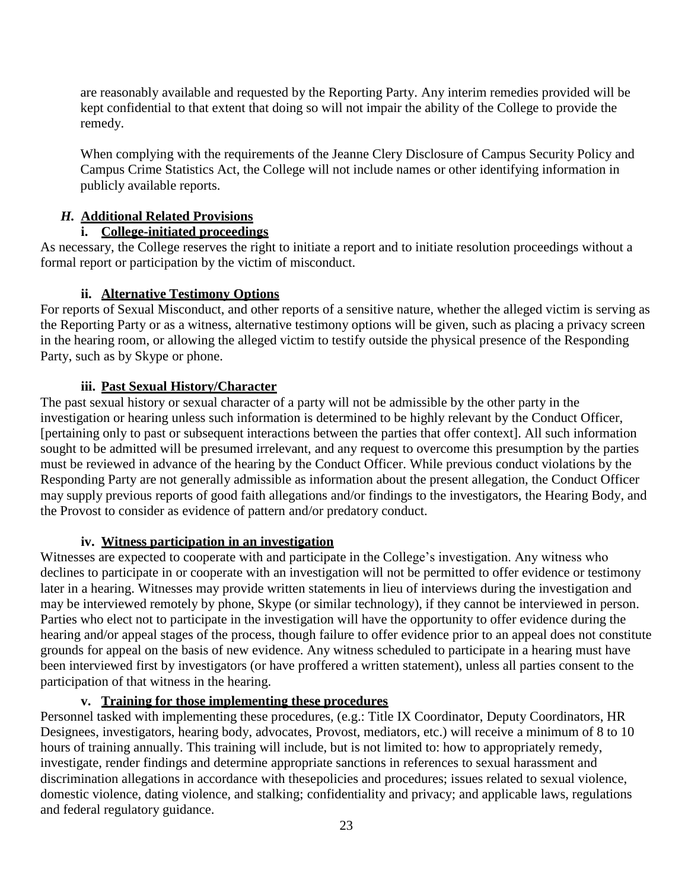are reasonably available and requested by the Reporting Party. Any interim remedies provided will be kept confidential to that extent that doing so will not impair the ability of the College to provide the remedy.

When complying with the requirements of the Jeanne Clery Disclosure of Campus Security Policy and Campus Crime Statistics Act, the College will not include names or other identifying information in publicly available reports.

### *H.* **Additional Related Provisions**

### **i. College-initiated proceedings**

As necessary, the College reserves the right to initiate a report and to initiate resolution proceedings without a formal report or participation by the victim of misconduct.

### **ii. Alternative Testimony Options**

For reports of Sexual Misconduct, and other reports of a sensitive nature, whether the alleged victim is serving as the Reporting Party or as a witness, alternative testimony options will be given, such as placing a privacy screen in the hearing room, or allowing the alleged victim to testify outside the physical presence of the Responding Party, such as by Skype or phone.

### **iii. Past Sexual History/Character**

The past sexual history or sexual character of a party will not be admissible by the other party in the investigation or hearing unless such information is determined to be highly relevant by the Conduct Officer, [pertaining only to past or subsequent interactions between the parties that offer context]. All such information sought to be admitted will be presumed irrelevant, and any request to overcome this presumption by the parties must be reviewed in advance of the hearing by the Conduct Officer. While previous conduct violations by the Responding Party are not generally admissible as information about the present allegation, the Conduct Officer may supply previous reports of good faith allegations and/or findings to the investigators, the Hearing Body, and the Provost to consider as evidence of pattern and/or predatory conduct.

#### **iv. Witness participation in an investigation**

Witnesses are expected to cooperate with and participate in the College's investigation. Any witness who declines to participate in or cooperate with an investigation will not be permitted to offer evidence or testimony later in a hearing. Witnesses may provide written statements in lieu of interviews during the investigation and may be interviewed remotely by phone, Skype (or similar technology), if they cannot be interviewed in person. Parties who elect not to participate in the investigation will have the opportunity to offer evidence during the hearing and/or appeal stages of the process, though failure to offer evidence prior to an appeal does not constitute grounds for appeal on the basis of new evidence. Any witness scheduled to participate in a hearing must have been interviewed first by investigators (or have proffered a written statement), unless all parties consent to the participation of that witness in the hearing.

#### **v. Training for those implementing these procedures**

Personnel tasked with implementing these procedures, (e.g.: Title IX Coordinator, Deputy Coordinators, HR Designees, investigators, hearing body, advocates, Provost, mediators, etc.) will receive a minimum of 8 to 10 hours of training annually. This training will include, but is not limited to: how to appropriately remedy, investigate, render findings and determine appropriate sanctions in references to sexual harassment and discrimination allegations in accordance with thesepolicies and procedures; issues related to sexual violence, domestic violence, dating violence, and stalking; confidentiality and privacy; and applicable laws, regulations and federal regulatory guidance.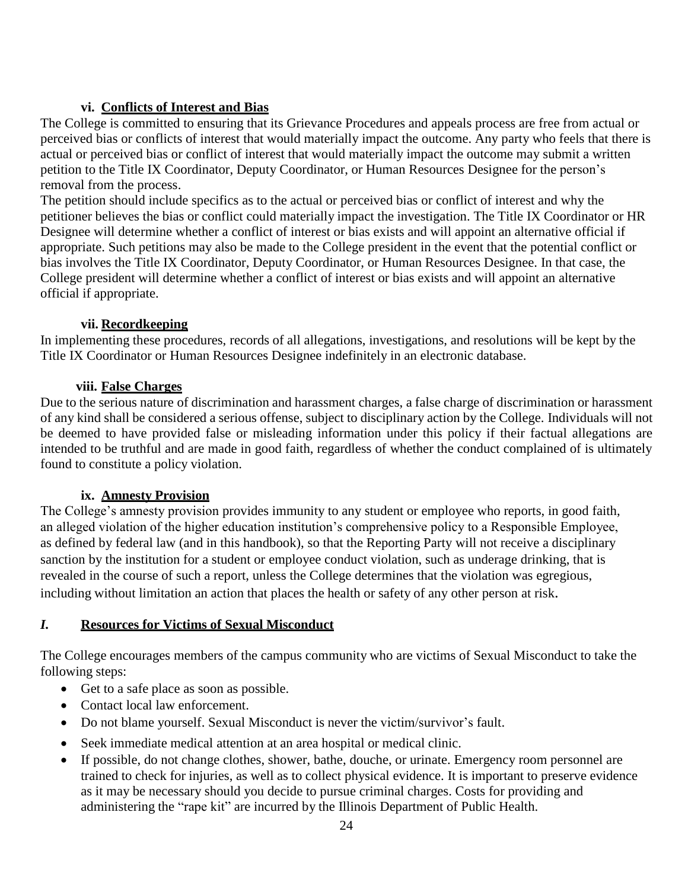# **vi. Conflicts of Interest and Bias**

The College is committed to ensuring that its Grievance Procedures and appeals process are free from actual or perceived bias or conflicts of interest that would materially impact the outcome. Any party who feels that there is actual or perceived bias or conflict of interest that would materially impact the outcome may submit a written petition to the Title IX Coordinator, Deputy Coordinator, or Human Resources Designee for the person's removal from the process.

The petition should include specifics as to the actual or perceived bias or conflict of interest and why the petitioner believes the bias or conflict could materially impact the investigation. The Title IX Coordinator or HR Designee will determine whether a conflict of interest or bias exists and will appoint an alternative official if appropriate. Such petitions may also be made to the College president in the event that the potential conflict or bias involves the Title IX Coordinator, Deputy Coordinator, or Human Resources Designee. In that case, the College president will determine whether a conflict of interest or bias exists and will appoint an alternative official if appropriate.

### **vii. Recordkeeping**

In implementing these procedures, records of all allegations, investigations, and resolutions will be kept by the Title IX Coordinator or Human Resources Designee indefinitely in an electronic database.

### **viii. False Charges**

Due to the serious nature of discrimination and harassment charges, a false charge of discrimination or harassment of any kind shall be considered a serious offense, subject to disciplinary action by the College. Individuals will not be deemed to have provided false or misleading information under this policy if their factual allegations are intended to be truthful and are made in good faith, regardless of whether the conduct complained of is ultimately found to constitute a policy violation.

## **ix. Amnesty Provision**

The College's amnesty provision provides immunity to any student or employee who reports, in good faith, an alleged violation of the higher education institution's comprehensive policy to a Responsible Employee, as defined by federal law (and in this handbook), so that the Reporting Party will not receive a disciplinary sanction by the institution for a student or employee conduct violation, such as underage drinking, that is revealed in the course of such a report, unless the College determines that the violation was egregious, including without limitation an action that places the health or safety of any other person at risk.

## *I.* **Resources for Victims of Sexual Misconduct**

The College encourages members of the campus community who are victims of Sexual Misconduct to take the following steps:

- Get to a safe place as soon as possible.
- Contact local law enforcement.
- Do not blame yourself. Sexual Misconduct is never the victim/survivor's fault.
- Seek immediate medical attention at an area hospital or medical clinic.
- If possible, do not change clothes, shower, bathe, douche, or urinate. Emergency room personnel are trained to check for injuries, as well as to collect physical evidence. It is important to preserve evidence as it may be necessary should you decide to pursue criminal charges. Costs for providing and administering the "rape kit" are incurred by the Illinois Department of Public Health.